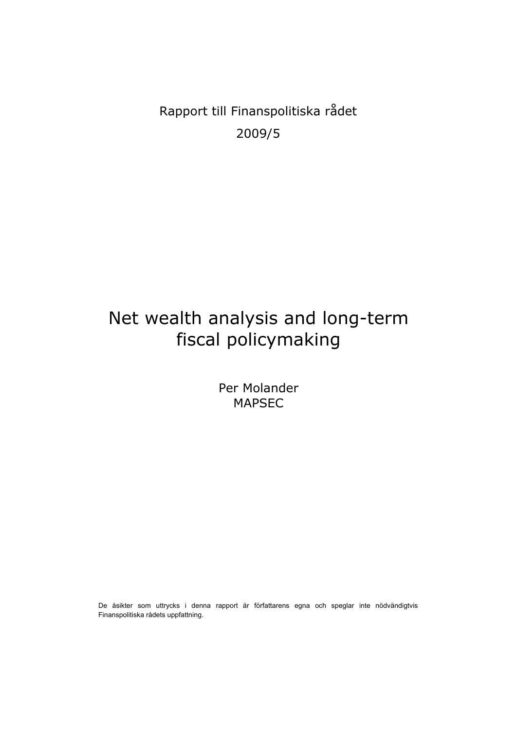Rapport till Finanspolitiska rådet 2009/5

# Net wealth analysis and long-term fiscal policymaking

Per Molander MAPSEC

De åsikter som uttrycks i denna rapport är författarens egna och speglar inte nödvändigtvis Finanspolitiska rådets uppfattning.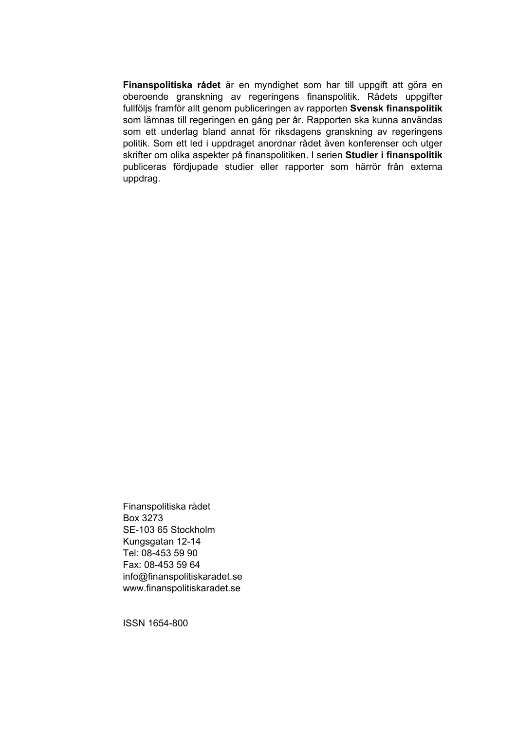**Finanspolitiska rådet** är en myndighet som har till uppgift att göra en oberoende granskning av regeringens finanspolitik. Rådets uppgifter fullföljs framför allt genom publiceringen av rapporten **Svensk finanspolitik** som lämnas till regeringen en gång per år. Rapporten ska kunna användas som ett underlag bland annat för riksdagens granskning av regeringens politik. Som ett led i uppdraget anordnar rådet även konferenser och utger skrifter om olika aspekter på finanspolitiken. I serien **Studier i finanspolitik** publiceras fördjupade studier eller rapporter som härrör från externa uppdrag.

Finanspolitiska rådet Box 3273 SE-103 65 Stockholm Kungsgatan 12-14 Tel: 08-453 59 90 Fax: 08-453 59 64 info@finanspolitiskaradet.se www.finanspolitiskaradet.se

ISSN 1654-800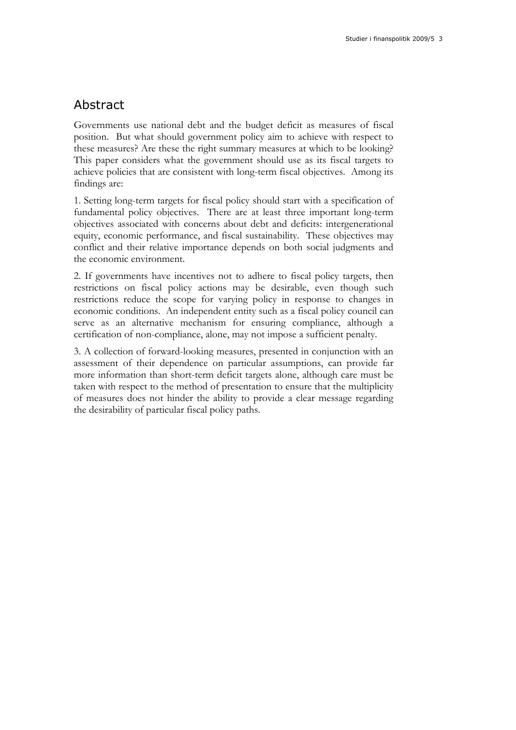## Abstract

Governments use national debt and the budget deficit as measures of fiscal position. But what should government policy aim to achieve with respect to these measures? Are these the right summary measures at which to be looking? This paper considers what the government should use as its fiscal targets to achieve policies that are consistent with long-term fiscal objectives. Among its findings are:

1. Setting long-term targets for fiscal policy should start with a specification of fundamental policy objectives. There are at least three important long-term objectives associated with concerns about debt and deficits: intergenerational equity, economic performance, and fiscal sustainability. These objectives may conflict and their relative importance depends on both social judgments and the economic environment.

2. If governments have incentives not to adhere to fiscal policy targets, then restrictions on fiscal policy actions may be desirable, even though such restrictions reduce the scope for varying policy in response to changes in economic conditions. An independent entity such as a fiscal policy council can serve as an alternative mechanism for ensuring compliance, although a certification of non-compliance, alone, may not impose a sufficient penalty.

3. A collection of forward-looking measures, presented in conjunction with an assessment of their dependence on particular assumptions, can provide far more information than short-term deficit targets alone, although care must be taken with respect to the method of presentation to ensure that the multiplicity of measures does not hinder the ability to provide a clear message regarding the desirability of particular fiscal policy paths.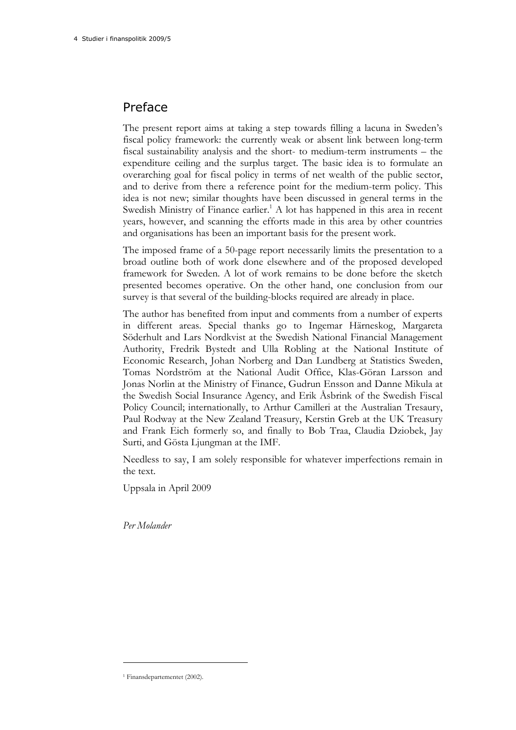## Preface

The present report aims at taking a step towards filling a lacuna in Sweden's fiscal policy framework: the currently weak or absent link between long-term fiscal sustainability analysis and the short- to medium-term instruments – the expenditure ceiling and the surplus target. The basic idea is to formulate an overarching goal for fiscal policy in terms of net wealth of the public sector, and to derive from there a reference point for the medium-term policy. This idea is not new; similar thoughts have been discussed in general terms in the Swedish Ministry of Finance earlier.<sup>1</sup> A lot has happened in this area in recent years, however, and scanning the efforts made in this area by other countries and organisations has been an important basis for the present work.

The imposed frame of a 50-page report necessarily limits the presentation to a broad outline both of work done elsewhere and of the proposed developed framework for Sweden. A lot of work remains to be done before the sketch presented becomes operative. On the other hand, one conclusion from our survey is that several of the building-blocks required are already in place.

The author has benefited from input and comments from a number of experts in different areas. Special thanks go to Ingemar Härneskog, Margareta Söderhult and Lars Nordkvist at the Swedish National Financial Management Authority, Fredrik Bystedt and Ulla Robling at the National Institute of Economic Research, Johan Norberg and Dan Lundberg at Statistics Sweden, Tomas Nordström at the National Audit Office, Klas-Göran Larsson and Jonas Norlin at the Ministry of Finance, Gudrun Ensson and Danne Mikula at the Swedish Social Insurance Agency, and Erik Åsbrink of the Swedish Fiscal Policy Council; internationally, to Arthur Camilleri at the Australian Tresaury, Paul Rodway at the New Zealand Treasury, Kerstin Greb at the UK Treasury and Frank Eich formerly so, and finally to Bob Traa, Claudia Dziobek, Jay Surti, and Gösta Ljungman at the IMF.

Needless to say, I am solely responsible for whatever imperfections remain in the text.

Uppsala in April 2009

*Per Molander* 

<sup>1</sup> Finansdepartementet (2002).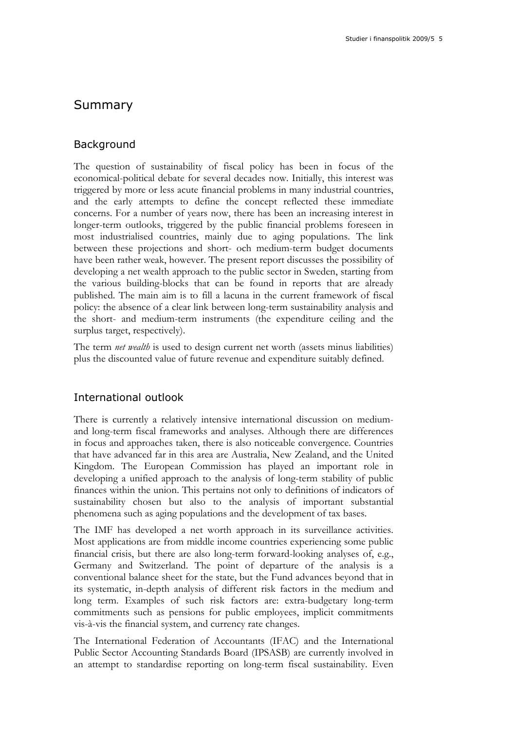## Summary

### Background

The question of sustainability of fiscal policy has been in focus of the economical-political debate for several decades now. Initially, this interest was triggered by more or less acute financial problems in many industrial countries, and the early attempts to define the concept reflected these immediate concerns. For a number of years now, there has been an increasing interest in longer-term outlooks, triggered by the public financial problems foreseen in most industrialised countries, mainly due to aging populations. The link between these projections and short- och medium-term budget documents have been rather weak, however. The present report discusses the possibility of developing a net wealth approach to the public sector in Sweden, starting from the various building-blocks that can be found in reports that are already published. The main aim is to fill a lacuna in the current framework of fiscal policy: the absence of a clear link between long-term sustainability analysis and the short- and medium-term instruments (the expenditure ceiling and the surplus target, respectively).

The term *net wealth* is used to design current net worth (assets minus liabilities) plus the discounted value of future revenue and expenditure suitably defined.

### International outlook

There is currently a relatively intensive international discussion on mediumand long-term fiscal frameworks and analyses. Although there are differences in focus and approaches taken, there is also noticeable convergence. Countries that have advanced far in this area are Australia, New Zealand, and the United Kingdom. The European Commission has played an important role in developing a unified approach to the analysis of long-term stability of public finances within the union. This pertains not only to definitions of indicators of sustainability chosen but also to the analysis of important substantial phenomena such as aging populations and the development of tax bases.

The IMF has developed a net worth approach in its surveillance activities. Most applications are from middle income countries experiencing some public financial crisis, but there are also long-term forward-looking analyses of, e.g., Germany and Switzerland. The point of departure of the analysis is a conventional balance sheet for the state, but the Fund advances beyond that in its systematic, in-depth analysis of different risk factors in the medium and long term. Examples of such risk factors are: extra-budgetary long-term commitments such as pensions for public employees, implicit commitments vis-à-vis the financial system, and currency rate changes.

The International Federation of Accountants (IFAC) and the International Public Sector Accounting Standards Board (IPSASB) are currently involved in an attempt to standardise reporting on long-term fiscal sustainability. Even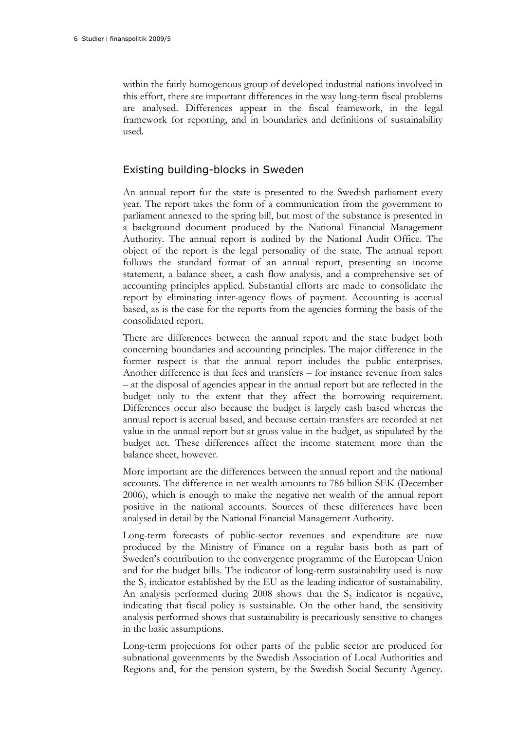within the fairly homogenous group of developed industrial nations involved in this effort, there are important differences in the way long-term fiscal problems are analysed. Differences appear in the fiscal framework, in the legal framework for reporting, and in boundaries and definitions of sustainability used.

### Existing building-blocks in Sweden

An annual report for the state is presented to the Swedish parliament every year. The report takes the form of a communication from the government to parliament annexed to the spring bill, but most of the substance is presented in a background document produced by the National Financial Management Authority. The annual report is audited by the National Audit Office. The object of the report is the legal personality of the state. The annual report follows the standard format of an annual report, presenting an income statement, a balance sheet, a cash flow analysis, and a comprehensive set of accounting principles applied. Substantial efforts are made to consolidate the report by eliminating inter-agency flows of payment. Accounting is accrual based, as is the case for the reports from the agencies forming the basis of the consolidated report.

There are differences between the annual report and the state budget both concerning boundaries and accounting principles. The major difference in the former respect is that the annual report includes the public enterprises. Another difference is that fees and transfers – for instance revenue from sales – at the disposal of agencies appear in the annual report but are reflected in the budget only to the extent that they affect the borrowing requirement. Differences occur also because the budget is largely cash based whereas the annual report is accrual based, and because certain transfers are recorded at net value in the annual report but at gross value in the budget, as stipulated by the budget act. These differences affect the income statement more than the balance sheet, however.

More important are the differences between the annual report and the national accounts. The difference in net wealth amounts to 786 billion SEK (December 2006), which is enough to make the negative net wealth of the annual report positive in the national accounts. Sources of these differences have been analysed in detail by the National Financial Management Authority.

Long-term forecasts of public-sector revenues and expenditure are now produced by the Ministry of Finance on a regular basis both as part of Sweden's contribution to the convergence programme of the European Union and for the budget bills. The indicator of long-term sustainability used is now the S<sub>2</sub> indicator established by the EU as the leading indicator of sustainability. An analysis performed during  $2008$  shows that the S<sub>2</sub> indicator is negative, indicating that fiscal policy is sustainable. On the other hand, the sensitivity analysis performed shows that sustainability is precariously sensitive to changes in the basic assumptions.

Long-term projections for other parts of the public sector are produced for subnational governments by the Swedish Association of Local Authorities and Regions and, for the pension system, by the Swedish Social Security Agency.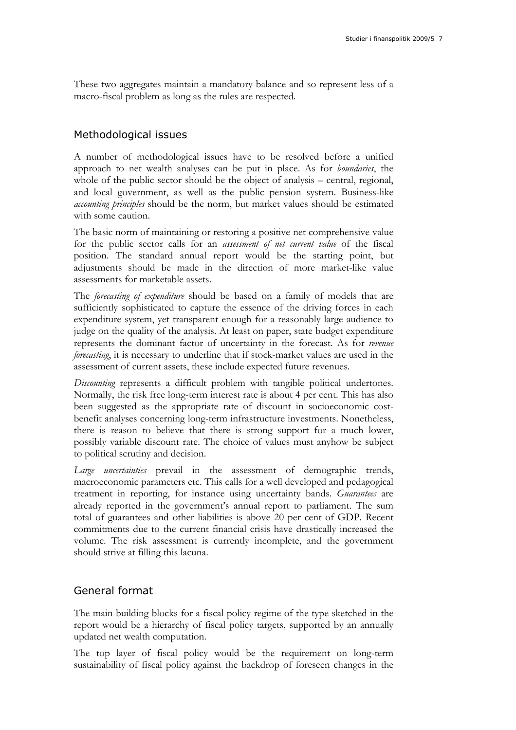These two aggregates maintain a mandatory balance and so represent less of a macro-fiscal problem as long as the rules are respected.

### Methodological issues

A number of methodological issues have to be resolved before a unified approach to net wealth analyses can be put in place. As for *boundaries*, the whole of the public sector should be the object of analysis – central, regional, and local government, as well as the public pension system. Business-like *accounting principles* should be the norm, but market values should be estimated with some caution.

The basic norm of maintaining or restoring a positive net comprehensive value for the public sector calls for an *assessment of net current value* of the fiscal position. The standard annual report would be the starting point, but adjustments should be made in the direction of more market-like value assessments for marketable assets.

The *forecasting of expenditure* should be based on a family of models that are sufficiently sophisticated to capture the essence of the driving forces in each expenditure system, yet transparent enough for a reasonably large audience to judge on the quality of the analysis. At least on paper, state budget expenditure represents the dominant factor of uncertainty in the forecast. As for *revenue forecasting*, it is necessary to underline that if stock-market values are used in the assessment of current assets, these include expected future revenues.

*Discounting* represents a difficult problem with tangible political undertones. Normally, the risk free long-term interest rate is about 4 per cent. This has also been suggested as the appropriate rate of discount in socioeconomic costbenefit analyses concerning long-term infrastructure investments. Nonetheless, there is reason to believe that there is strong support for a much lower, possibly variable discount rate. The choice of values must anyhow be subject to political scrutiny and decision.

*Large uncertainties* prevail in the assessment of demographic trends, macroeconomic parameters etc. This calls for a well developed and pedagogical treatment in reporting, for instance using uncertainty bands. *Guarantees* are already reported in the government's annual report to parliament. The sum total of guarantees and other liabilities is above 20 per cent of GDP. Recent commitments due to the current financial crisis have drastically increased the volume. The risk assessment is currently incomplete, and the government should strive at filling this lacuna.

### General format

The main building blocks for a fiscal policy regime of the type sketched in the report would be a hierarchy of fiscal policy targets, supported by an annually updated net wealth computation.

The top layer of fiscal policy would be the requirement on long-term sustainability of fiscal policy against the backdrop of foreseen changes in the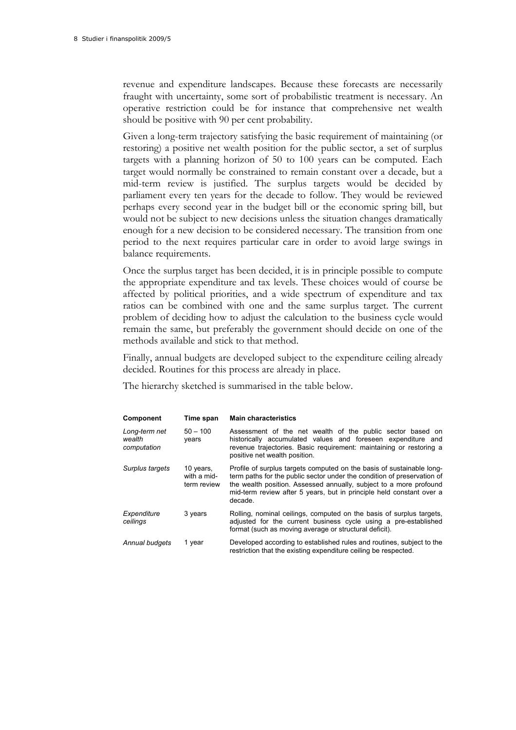revenue and expenditure landscapes. Because these forecasts are necessarily fraught with uncertainty, some sort of probabilistic treatment is necessary. An operative restriction could be for instance that comprehensive net wealth should be positive with 90 per cent probability.

Given a long-term trajectory satisfying the basic requirement of maintaining (or restoring) a positive net wealth position for the public sector, a set of surplus targets with a planning horizon of 50 to 100 years can be computed. Each target would normally be constrained to remain constant over a decade, but a mid-term review is justified. The surplus targets would be decided by parliament every ten years for the decade to follow. They would be reviewed perhaps every second year in the budget bill or the economic spring bill, but would not be subject to new decisions unless the situation changes dramatically enough for a new decision to be considered necessary. The transition from one period to the next requires particular care in order to avoid large swings in balance requirements.

Once the surplus target has been decided, it is in principle possible to compute the appropriate expenditure and tax levels. These choices would of course be affected by political priorities, and a wide spectrum of expenditure and tax ratios can be combined with one and the same surplus target. The current problem of deciding how to adjust the calculation to the business cycle would remain the same, but preferably the government should decide on one of the methods available and stick to that method.

Finally, annual budgets are developed subject to the expenditure ceiling already decided. Routines for this process are already in place.

The hierarchy sketched is summarised in the table below.

| Component                              | Time span                               | <b>Main characteristics</b>                                                                                                                                                                                                                                                                               |
|----------------------------------------|-----------------------------------------|-----------------------------------------------------------------------------------------------------------------------------------------------------------------------------------------------------------------------------------------------------------------------------------------------------------|
| Long-term net<br>wealth<br>computation | $50 - 100$<br>vears                     | Assessment of the net wealth of the public sector based on<br>historically accumulated values and foreseen expenditure and<br>revenue trajectories. Basic requirement: maintaining or restoring a<br>positive net wealth position.                                                                        |
| Surplus targets                        | 10 years,<br>with a mid-<br>term review | Profile of surplus targets computed on the basis of sustainable long-<br>term paths for the public sector under the condition of preservation of<br>the wealth position. Assessed annually, subject to a more profound<br>mid-term review after 5 years, but in principle held constant over a<br>decade. |
| Expenditure<br>ceilings                | 3 years                                 | Rolling, nominal ceilings, computed on the basis of surplus targets,<br>adjusted for the current business cycle using a pre-established<br>format (such as moving average or structural deficit).                                                                                                         |
| Annual budgets                         | 1 year                                  | Developed according to established rules and routines, subject to the<br>restriction that the existing expenditure ceiling be respected.                                                                                                                                                                  |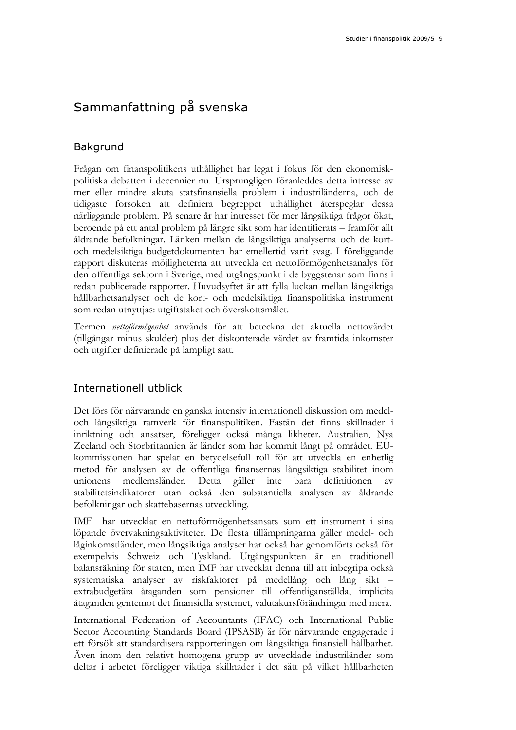## Sammanfattning på svenska

### Bakgrund

Frågan om finanspolitikens uthållighet har legat i fokus för den ekonomiskpolitiska debatten i decennier nu. Ursprungligen föranleddes detta intresse av mer eller mindre akuta statsfinansiella problem i industriländerna, och de tidigaste försöken att definiera begreppet uthållighet återspeglar dessa närliggande problem. På senare år har intresset för mer långsiktiga frågor ökat, beroende på ett antal problem på längre sikt som har identifierats – framför allt åldrande befolkningar. Länken mellan de långsiktiga analyserna och de kortoch medelsiktiga budgetdokumenten har emellertid varit svag. I föreliggande rapport diskuteras möjligheterna att utveckla en nettoförmögenhetsanalys för den offentliga sektorn i Sverige, med utgångspunkt i de byggstenar som finns i redan publicerade rapporter. Huvudsyftet är att fylla luckan mellan långsiktiga hållbarhetsanalyser och de kort- och medelsiktiga finanspolitiska instrument som redan utnyttjas: utgiftstaket och överskottsmålet.

Termen *nettoförmögenhet* används för att beteckna det aktuella nettovärdet (tillgångar minus skulder) plus det diskonterade värdet av framtida inkomster och utgifter definierade på lämpligt sätt.

### Internationell utblick

Det förs för närvarande en ganska intensiv internationell diskussion om medeloch långsiktiga ramverk för finanspolitiken. Fastän det finns skillnader i inriktning och ansatser, föreligger också många likheter. Australien, Nya Zeeland och Storbritannien är länder som har kommit långt på området. EUkommissionen har spelat en betydelsefull roll för att utveckla en enhetlig metod för analysen av de offentliga finansernas långsiktiga stabilitet inom unionens medlemsländer. Detta gäller inte bara definitionen av stabilitetsindikatorer utan också den substantiella analysen av åldrande befolkningar och skattebasernas utveckling.

IMF har utvecklat en nettoförmögenhetsansats som ett instrument i sina löpande övervakningsaktiviteter. De flesta tillämpningarna gäller medel- och låginkomstländer, men långsiktiga analyser har också har genomförts också för exempelvis Schweiz och Tyskland. Utgångspunkten är en traditionell balansräkning för staten, men IMF har utvecklat denna till att inbegripa också systematiska analyser av riskfaktorer på medellång och lång sikt – extrabudgetära åtaganden som pensioner till offentliganställda, implicita åtaganden gentemot det finansiella systemet, valutakursförändringar med mera.

International Federation of Accountants (IFAC) och International Public Sector Accounting Standards Board (IPSASB) är för närvarande engagerade i ett försök att standardisera rapporteringen om långsiktiga finansiell hållbarhet. Även inom den relativt homogena grupp av utvecklade industriländer som deltar i arbetet föreligger viktiga skillnader i det sätt på vilket hållbarheten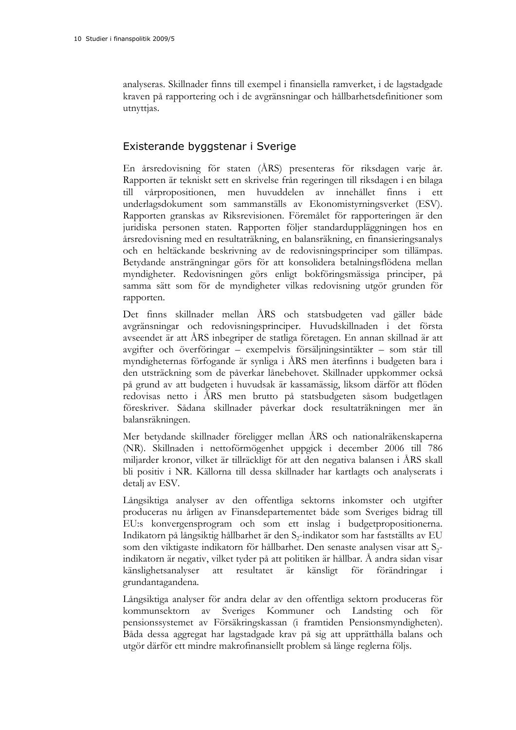analyseras. Skillnader finns till exempel i finansiella ramverket, i de lagstadgade kraven på rapportering och i de avgränsningar och hållbarhetsdefinitioner som utnyttjas.

### Existerande byggstenar i Sverige

En årsredovisning för staten (ÅRS) presenteras för riksdagen varje år. Rapporten är tekniskt sett en skrivelse från regeringen till riksdagen i en bilaga vårpropositionen, men huvuddelen av innehållet finns i ett underlagsdokument som sammanställs av Ekonomistyrningsverket (ESV). Rapporten granskas av Riksrevisionen. Föremålet för rapporteringen är den juridiska personen staten. Rapporten följer standarduppläggningen hos en årsredovisning med en resultaträkning, en balansräkning, en finansieringsanalys och en heltäckande beskrivning av de redovisningsprinciper som tillämpas. Betydande ansträngningar görs för att konsolidera betalningsflödena mellan myndigheter. Redovisningen görs enligt bokföringsmässiga principer, på samma sätt som för de myndigheter vilkas redovisning utgör grunden för rapporten.

Det finns skillnader mellan ÅRS och statsbudgeten vad gäller både avgränsningar och redovisningsprinciper. Huvudskillnaden i det första avseendet är att ÅRS inbegriper de statliga företagen. En annan skillnad är att avgifter och överföringar – exempelvis försäljningsintäkter – som står till myndigheternas förfogande är synliga i ÅRS men återfinns i budgeten bara i den utsträckning som de påverkar lånebehovet. Skillnader uppkommer också på grund av att budgeten i huvudsak är kassamässig, liksom därför att flöden redovisas netto i ÅRS men brutto på statsbudgeten såsom budgetlagen föreskriver. Sådana skillnader påverkar dock resultaträkningen mer än balansräkningen.

Mer betydande skillnader föreligger mellan ÅRS och nationalräkenskaperna (NR). Skillnaden i nettoförmögenhet uppgick i december 2006 till 786 miljarder kronor, vilket är tillräckligt för att den negativa balansen i ÅRS skall bli positiv i NR. Källorna till dessa skillnader har kartlagts och analyserats i detalj av ESV.

Långsiktiga analyser av den offentliga sektorns inkomster och utgifter produceras nu årligen av Finansdepartementet både som Sveriges bidrag till EU:s konvergensprogram och som ett inslag i budgetpropositionerna. Indikatorn på långsiktig hållbarhet är den S<sub>2</sub>-indikator som har fastställts av EU som den viktigaste indikatorn för hållbarhet. Den senaste analysen visar att  $S_2$ indikatorn är negativ, vilket tyder på att politiken är hållbar. Å andra sidan visar känslighetsanalyser att resultatet är känsligt för förändringar i grundantagandena.

Långsiktiga analyser för andra delar av den offentliga sektorn produceras för kommunsektorn av Sveriges Kommuner och Landsting och för pensionssystemet av Försäkringskassan (i framtiden Pensionsmyndigheten). Båda dessa aggregat har lagstadgade krav på sig att upprätthålla balans och utgör därför ett mindre makrofinansiellt problem så länge reglerna följs.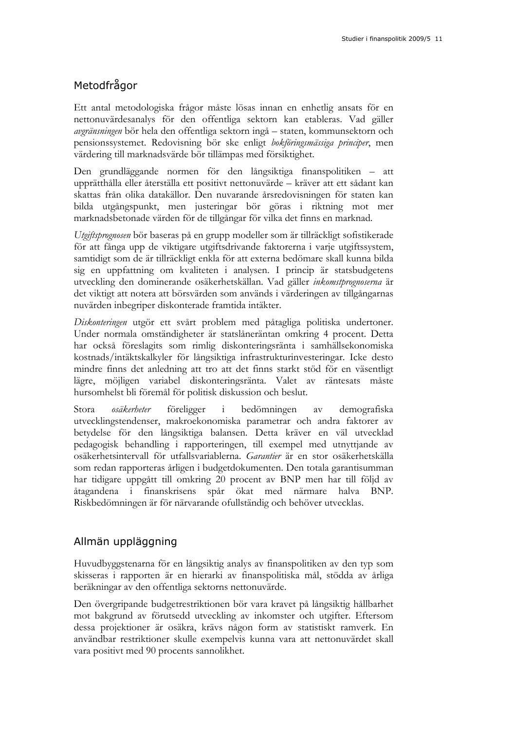### Metodfrågor

Ett antal metodologiska frågor måste lösas innan en enhetlig ansats för en nettonuvärdesanalys för den offentliga sektorn kan etableras. Vad gäller *avgränsningen* bör hela den offentliga sektorn ingå – staten, kommunsektorn och pensionssystemet. Redovisning bör ske enligt *bokföringsmässiga principer*, men värdering till marknadsvärde bör tillämpas med försiktighet.

Den grundläggande normen för den långsiktiga finanspolitiken – att upprätthålla eller återställa ett positivt nettonuvärde – kräver att ett sådant kan skattas från olika datakällor. Den nuvarande årsredovisningen för staten kan bilda utgångspunkt, men justeringar bör göras i riktning mot mer marknadsbetonade värden för de tillgångar för vilka det finns en marknad.

*Utgiftsprognosen* bör baseras på en grupp modeller som är tillräckligt sofistikerade för att fånga upp de viktigare utgiftsdrivande faktorerna i varje utgiftssystem, samtidigt som de är tillräckligt enkla för att externa bedömare skall kunna bilda sig en uppfattning om kvaliteten i analysen. I princip är statsbudgetens utveckling den dominerande osäkerhetskällan. Vad gäller *inkomstprognoserna* är det viktigt att notera att börsvärden som används i värderingen av tillgångarnas nuvärden inbegriper diskonterade framtida intäkter.

*Diskonteringen* utgör ett svårt problem med påtagliga politiska undertoner. Under normala omständigheter är statslåneräntan omkring 4 procent. Detta har också föreslagits som rimlig diskonteringsränta i samhällsekonomiska kostnads/intäktskalkyler för långsiktiga infrastrukturinvesteringar. Icke desto mindre finns det anledning att tro att det finns starkt stöd för en väsentligt lägre, möjligen variabel diskonteringsränta. Valet av räntesats måste hursomhelst bli föremål för politisk diskussion och beslut.

Stora *osäkerheter* föreligger i bedömningen av demografiska utvecklingstendenser, makroekonomiska parametrar och andra faktorer av betydelse för den långsiktiga balansen. Detta kräver en väl utvecklad pedagogisk behandling i rapporteringen, till exempel med utnyttjande av osäkerhetsintervall för utfallsvariablerna. *Garantier* är en stor osäkerhetskälla som redan rapporteras årligen i budgetdokumenten. Den totala garantisumman har tidigare uppgått till omkring 20 procent av BNP men har till följd av åtagandena i finanskrisens spår ökat med närmare halva BNP. Riskbedömningen är för närvarande ofullständig och behöver utvecklas.

### Allmän uppläggning

Huvudbyggstenarna för en långsiktig analys av finanspolitiken av den typ som skisseras i rapporten är en hierarki av finanspolitiska mål, stödda av årliga beräkningar av den offentliga sektorns nettonuvärde.

Den övergripande budgetrestriktionen bör vara kravet på långsiktig hållbarhet mot bakgrund av förutsedd utveckling av inkomster och utgifter. Eftersom dessa projektioner är osäkra, krävs någon form av statistiskt ramverk. En användbar restriktioner skulle exempelvis kunna vara att nettonuvärdet skall vara positivt med 90 procents sannolikhet.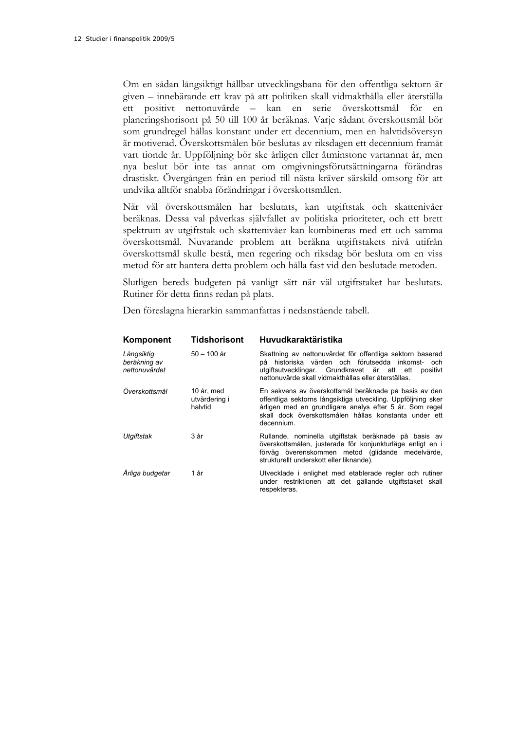Om en sådan långsiktigt hållbar utvecklingsbana för den offentliga sektorn är given – innebärande ett krav på att politiken skall vidmakthålla eller återställa ett positivt nettonuvärde – kan en serie överskottsmål för en planeringshorisont på 50 till 100 år beräknas. Varje sådant överskottsmål bör som grundregel hållas konstant under ett decennium, men en halvtidsöversyn är motiverad. Överskottsmålen bör beslutas av riksdagen ett decennium framåt vart tionde år. Uppföljning bör ske årligen eller åtminstone vartannat år, men nya beslut bör inte tas annat om omgivningsförutsättningarna förändras drastiskt. Övergången från en period till nästa kräver särskild omsorg för att undvika alltför snabba förändringar i överskottsmålen.

När väl överskottsmålen har beslutats, kan utgiftstak och skattenivåer beräknas. Dessa val påverkas självfallet av politiska prioriteter, och ett brett spektrum av utgiftstak och skattenivåer kan kombineras med ett och samma överskottsmål. Nuvarande problem att beräkna utgiftstakets nivå utifrån överskottsmål skulle bestå, men regering och riksdag bör besluta om en viss metod för att hantera detta problem och hålla fast vid den beslutade metoden.

Slutligen bereds budgeten på vanligt sätt när väl utgiftstaket har beslutats. Rutiner för detta finns redan på plats.

Den föreslagna hierarkin sammanfattas i nedanstående tabell.

| Komponent                                   | <b>Tidshorisont</b>                    | Huvudkaraktäristika                                                                                                                                                                                                                                     |
|---------------------------------------------|----------------------------------------|---------------------------------------------------------------------------------------------------------------------------------------------------------------------------------------------------------------------------------------------------------|
| Långsiktig<br>beräkning av<br>nettonuvärdet | 50 – 100 år                            | Skattning av nettonuvärdet för offentliga sektorn baserad<br>på historiska värden och förutsedda inkomst- och<br>utgiftsutvecklingar. Grundkravet är att ett<br>positivt<br>nettonuvärde skall vidmakthållas eller återställas.                         |
| Överskottsmål                               | 10 år, med<br>utvärdering i<br>halvtid | En sekvens av överskottsmål beräknade på basis av den<br>offentliga sektorns långsiktiga utveckling. Uppföljning sker<br>årligen med en grundligare analys efter 5 år. Som regel<br>skall dock överskottsmålen hållas konstanta under ett<br>decennium. |
| Utqiftstak                                  | 3 år                                   | Rullande, nominella utgiftstak beräknade på basis av<br>överskottsmålen, justerade för konjunkturläge enligt en i<br>förväg överenskommen metod (glidande medelvärde,<br>strukturellt underskott eller liknande).                                       |
| Årliga budgetar                             | 1 år                                   | Utvecklade i enlighet med etablerade regler och rutiner<br>under restriktionen att det gällande utgiftstaket skall<br>respekteras.                                                                                                                      |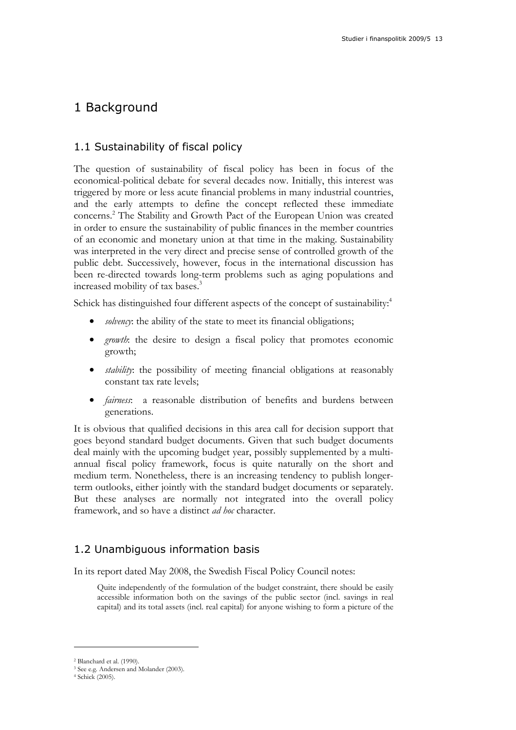## 1 Background

### 1.1 Sustainability of fiscal policy

The question of sustainability of fiscal policy has been in focus of the economical-political debate for several decades now. Initially, this interest was triggered by more or less acute financial problems in many industrial countries, and the early attempts to define the concept reflected these immediate concerns.2 The Stability and Growth Pact of the European Union was created in order to ensure the sustainability of public finances in the member countries of an economic and monetary union at that time in the making. Sustainability was interpreted in the very direct and precise sense of controlled growth of the public debt. Successively, however, focus in the international discussion has been re-directed towards long-term problems such as aging populations and increased mobility of tax bases.<sup>3</sup>

Schick has distinguished four different aspects of the concept of sustainability:<sup>4</sup>

- *solvency*: the ability of the state to meet its financial obligations;
- *growth*: the desire to design a fiscal policy that promotes economic growth;
- *stability*: the possibility of meeting financial obligations at reasonably constant tax rate levels;
- *fairness*: a reasonable distribution of benefits and burdens between generations.

It is obvious that qualified decisions in this area call for decision support that goes beyond standard budget documents. Given that such budget documents deal mainly with the upcoming budget year, possibly supplemented by a multiannual fiscal policy framework, focus is quite naturally on the short and medium term. Nonetheless, there is an increasing tendency to publish longerterm outlooks, either jointly with the standard budget documents or separately. But these analyses are normally not integrated into the overall policy framework, and so have a distinct *ad hoc* character.

### 1.2 Unambiguous information basis

In its report dated May 2008, the Swedish Fiscal Policy Council notes:

Quite independently of the formulation of the budget constraint, there should be easily accessible information both on the savings of the public sector (incl. savings in real capital) and its total assets (incl. real capital) for anyone wishing to form a picture of the

<sup>2</sup> Blanchard et al. (1990).

<sup>3</sup> See e.g. Andersen and Molander (2003).

<sup>4</sup> Schick (2005).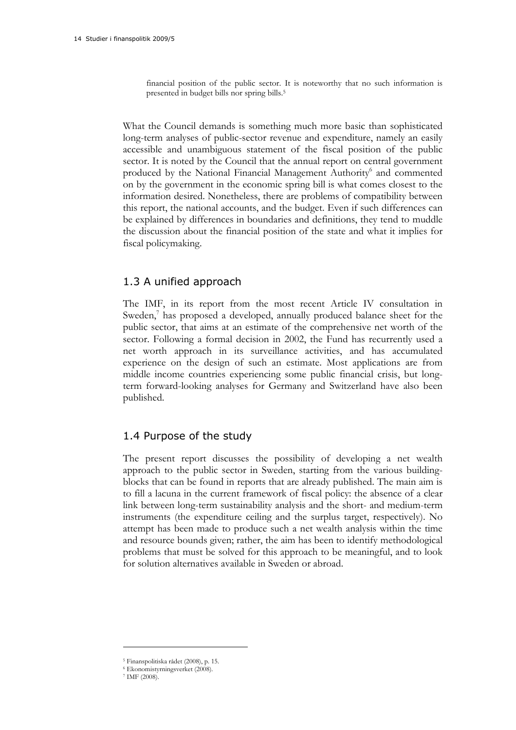financial position of the public sector. It is noteworthy that no such information is presented in budget bills nor spring bills.5

What the Council demands is something much more basic than sophisticated long-term analyses of public-sector revenue and expenditure, namely an easily accessible and unambiguous statement of the fiscal position of the public sector. It is noted by the Council that the annual report on central government produced by the National Financial Management Authority<sup>6</sup> and commented on by the government in the economic spring bill is what comes closest to the information desired. Nonetheless, there are problems of compatibility between this report, the national accounts, and the budget. Even if such differences can be explained by differences in boundaries and definitions, they tend to muddle the discussion about the financial position of the state and what it implies for fiscal policymaking.

### 1.3 A unified approach

The IMF, in its report from the most recent Article IV consultation in Sweden, $\bar{7}$  has proposed a developed, annually produced balance sheet for the public sector, that aims at an estimate of the comprehensive net worth of the sector. Following a formal decision in 2002, the Fund has recurrently used a net worth approach in its surveillance activities, and has accumulated experience on the design of such an estimate. Most applications are from middle income countries experiencing some public financial crisis, but longterm forward-looking analyses for Germany and Switzerland have also been published.

### 1.4 Purpose of the study

The present report discusses the possibility of developing a net wealth approach to the public sector in Sweden, starting from the various buildingblocks that can be found in reports that are already published. The main aim is to fill a lacuna in the current framework of fiscal policy: the absence of a clear link between long-term sustainability analysis and the short- and medium-term instruments (the expenditure ceiling and the surplus target, respectively). No attempt has been made to produce such a net wealth analysis within the time and resource bounds given; rather, the aim has been to identify methodological problems that must be solved for this approach to be meaningful, and to look for solution alternatives available in Sweden or abroad.

<sup>5</sup> Finanspolitiska rådet (2008), p. 15. 6 Ekonomistyrningsverket (2008). 7 IMF (2008).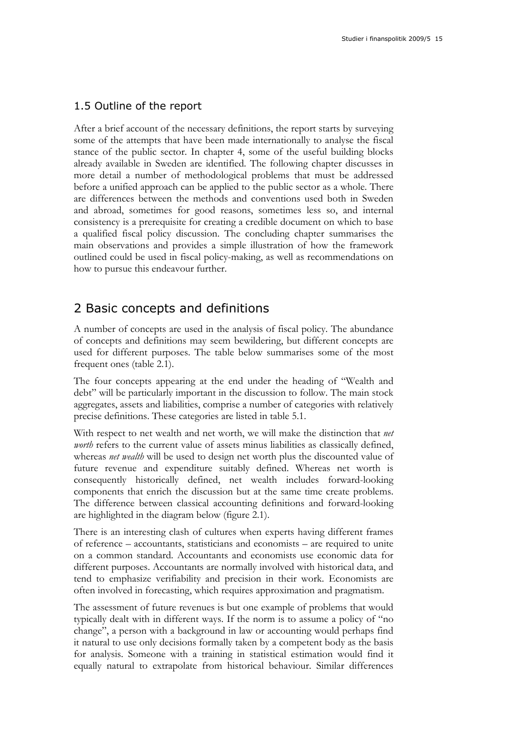### 1.5 Outline of the report

After a brief account of the necessary definitions, the report starts by surveying some of the attempts that have been made internationally to analyse the fiscal stance of the public sector. In chapter 4, some of the useful building blocks already available in Sweden are identified. The following chapter discusses in more detail a number of methodological problems that must be addressed before a unified approach can be applied to the public sector as a whole. There are differences between the methods and conventions used both in Sweden and abroad, sometimes for good reasons, sometimes less so, and internal consistency is a prerequisite for creating a credible document on which to base a qualified fiscal policy discussion. The concluding chapter summarises the main observations and provides a simple illustration of how the framework outlined could be used in fiscal policy-making, as well as recommendations on how to pursue this endeavour further.

## 2 Basic concepts and definitions

A number of concepts are used in the analysis of fiscal policy. The abundance of concepts and definitions may seem bewildering, but different concepts are used for different purposes. The table below summarises some of the most frequent ones (table 2.1).

The four concepts appearing at the end under the heading of "Wealth and debt" will be particularly important in the discussion to follow. The main stock aggregates, assets and liabilities, comprise a number of categories with relatively precise definitions. These categories are listed in table 5.1.

With respect to net wealth and net worth, we will make the distinction that *net worth* refers to the current value of assets minus liabilities as classically defined, whereas *net wealth* will be used to design net worth plus the discounted value of future revenue and expenditure suitably defined. Whereas net worth is consequently historically defined, net wealth includes forward-looking components that enrich the discussion but at the same time create problems. The difference between classical accounting definitions and forward-looking are highlighted in the diagram below (figure 2.1).

There is an interesting clash of cultures when experts having different frames of reference – accountants, statisticians and economists – are required to unite on a common standard. Accountants and economists use economic data for different purposes. Accountants are normally involved with historical data, and tend to emphasize verifiability and precision in their work. Economists are often involved in forecasting, which requires approximation and pragmatism.

The assessment of future revenues is but one example of problems that would typically dealt with in different ways. If the norm is to assume a policy of "no change", a person with a background in law or accounting would perhaps find it natural to use only decisions formally taken by a competent body as the basis for analysis. Someone with a training in statistical estimation would find it equally natural to extrapolate from historical behaviour. Similar differences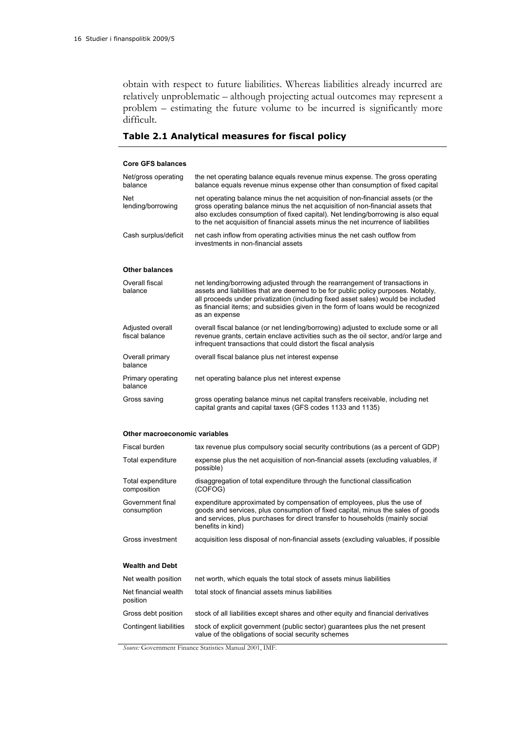obtain with respect to future liabilities. Whereas liabilities already incurred are relatively unproblematic – although projecting actual outcomes may represent a problem – estimating the future volume to be incurred is significantly more difficult.

### **Table 2.1 Analytical measures for fiscal policy**

#### **Core GFS balances**

| Net/gross operating<br>balance     | the net operating balance equals revenue minus expense. The gross operating<br>balance equals revenue minus expense other than consumption of fixed capital                                                                                                                                                                                               |
|------------------------------------|-----------------------------------------------------------------------------------------------------------------------------------------------------------------------------------------------------------------------------------------------------------------------------------------------------------------------------------------------------------|
| Net<br>lending/borrowing           | net operating balance minus the net acquisition of non-financial assets (or the<br>gross operating balance minus the net acquisition of non-financial assets that<br>also excludes consumption of fixed capital). Net lending/borrowing is also equal<br>to the net acquisition of financial assets minus the net incurrence of liabilities               |
| Cash surplus/deficit               | net cash inflow from operating activities minus the net cash outflow from<br>investments in non-financial assets                                                                                                                                                                                                                                          |
| <b>Other balances</b>              |                                                                                                                                                                                                                                                                                                                                                           |
| Overall fiscal<br>balance          | net lending/borrowing adjusted through the rearrangement of transactions in<br>assets and liabilities that are deemed to be for public policy purposes. Notably,<br>all proceeds under privatization (including fixed asset sales) would be included<br>as financial items; and subsidies given in the form of loans would be recognized<br>as an expense |
| Adjusted overall<br>fiscal balance | overall fiscal balance (or net lending/borrowing) adjusted to exclude some or all<br>revenue grants, certain enclave activities such as the oil sector, and/or large and<br>infrequent transactions that could distort the fiscal analysis                                                                                                                |
| Overall primary<br>balance         | overall fiscal balance plus net interest expense                                                                                                                                                                                                                                                                                                          |
| Primary operating<br>balance       | net operating balance plus net interest expense                                                                                                                                                                                                                                                                                                           |
| Gross saving                       | gross operating balance minus net capital transfers receivable, including net<br>capital grants and capital taxes (GFS codes 1133 and 1135)                                                                                                                                                                                                               |

#### **Other macroeconomic variables**

| Fiscal burden                    | tax revenue plus compulsory social security contributions (as a percent of GDP)                                                                                                                                                                                 |
|----------------------------------|-----------------------------------------------------------------------------------------------------------------------------------------------------------------------------------------------------------------------------------------------------------------|
| Total expenditure                | expense plus the net acquisition of non-financial assets (excluding valuables, if<br>possible)                                                                                                                                                                  |
| Total expenditure<br>composition | disaggregation of total expenditure through the functional classification<br>(COFOG)                                                                                                                                                                            |
| Government final<br>consumption  | expenditure approximated by compensation of employees, plus the use of<br>goods and services, plus consumption of fixed capital, minus the sales of goods<br>and services, plus purchases for direct transfer to households (mainly social<br>benefits in kind) |
| Gross investment                 | acquisition less disposal of non-financial assets (excluding valuables, if possible                                                                                                                                                                             |
| <b>Wealth and Debt</b>           |                                                                                                                                                                                                                                                                 |
| Net wealth position              | net worth, which equals the total stock of assets minus liabilities                                                                                                                                                                                             |
| Net financial wealth<br>position | total stock of financial assets minus liabilities                                                                                                                                                                                                               |
| Gross debt position              | stock of all liabilities except shares and other equity and financial derivatives                                                                                                                                                                               |
| Contingent liabilities           | stock of explicit government (public sector) guarantees plus the net present<br>value of the obligations of social security schemes                                                                                                                             |

*Source:* Government Finance Statistics Manual 2001, IMF.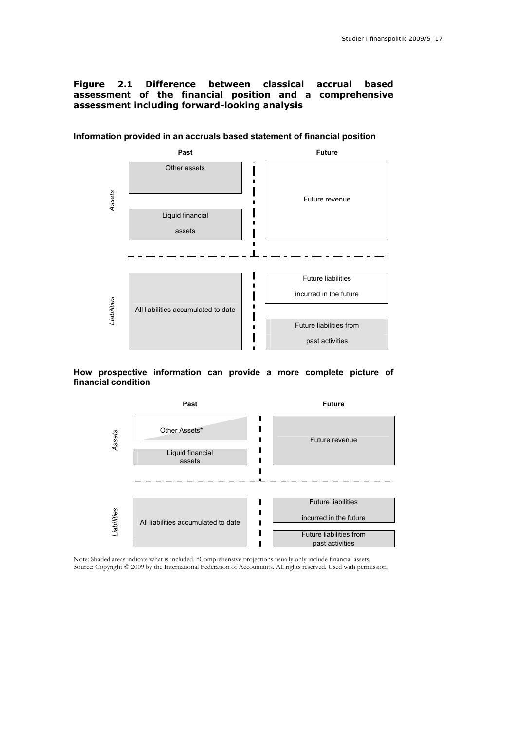#### **Figure 2.1 Difference between classical accrual based assessment of the financial position and a comprehensive assessment including forward-looking analysis**



**Information provided in an accruals based statement of financial position**

#### **How prospective information can provide a more complete picture of financial condition**



Note: Shaded areas indicate what is included. \*Comprehensive projections usually only include financial assets. Source: Copyright © 2009 by the International Federation of Accountants. All rights reserved. Used with permission.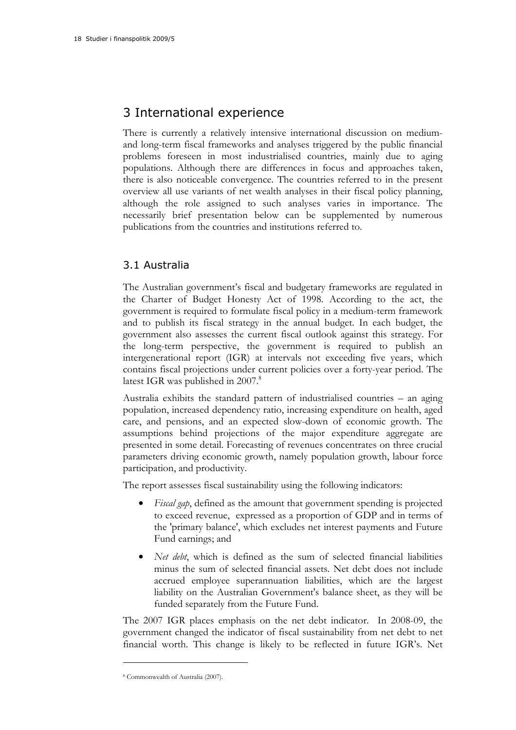## 3 International experience

There is currently a relatively intensive international discussion on mediumand long-term fiscal frameworks and analyses triggered by the public financial problems foreseen in most industrialised countries, mainly due to aging populations. Although there are differences in focus and approaches taken, there is also noticeable convergence. The countries referred to in the present overview all use variants of net wealth analyses in their fiscal policy planning, although the role assigned to such analyses varies in importance. The necessarily brief presentation below can be supplemented by numerous publications from the countries and institutions referred to.

### 3.1 Australia

The Australian government's fiscal and budgetary frameworks are regulated in the Charter of Budget Honesty Act of 1998. According to the act, the government is required to formulate fiscal policy in a medium-term framework and to publish its fiscal strategy in the annual budget. In each budget, the government also assesses the current fiscal outlook against this strategy. For the long-term perspective, the government is required to publish an intergenerational report (IGR) at intervals not exceeding five years, which contains fiscal projections under current policies over a forty-year period. The latest IGR was published in 2007.<sup>8</sup>

Australia exhibits the standard pattern of industrialised countries – an aging population, increased dependency ratio, increasing expenditure on health, aged care, and pensions, and an expected slow-down of economic growth. The assumptions behind projections of the major expenditure aggregate are presented in some detail. Forecasting of revenues concentrates on three crucial parameters driving economic growth, namely population growth, labour force participation, and productivity.

The report assesses fiscal sustainability using the following indicators:

- *Fiscal gap*, defined as the amount that government spending is projected to exceed revenue, expressed as a proportion of GDP and in terms of the 'primary balance', which excludes net interest payments and Future Fund earnings; and
- *Net debt*, which is defined as the sum of selected financial liabilities minus the sum of selected financial assets. Net debt does not include accrued employee superannuation liabilities, which are the largest liability on the Australian Government's balance sheet, as they will be funded separately from the Future Fund.

The 2007 IGR places emphasis on the net debt indicator. In 2008-09, the government changed the indicator of fiscal sustainability from net debt to net financial worth. This change is likely to be reflected in future IGR's. Net

<sup>8</sup> Commonwealth of Australia (2007).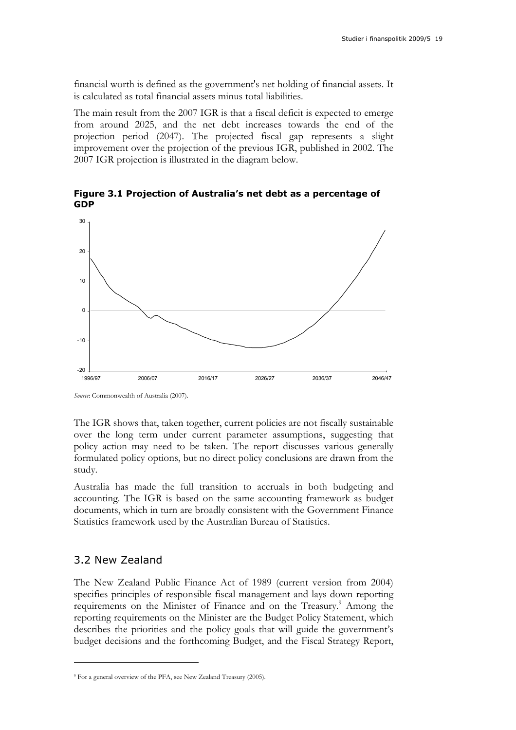financial worth is defined as the government's net holding of financial assets. It is calculated as total financial assets minus total liabilities.

The main result from the 2007 IGR is that a fiscal deficit is expected to emerge from around 2025, and the net debt increases towards the end of the projection period (2047). The projected fiscal gap represents a slight improvement over the projection of the previous IGR, published in 2002. The 2007 IGR projection is illustrated in the diagram below.

**Figure 3.1 Projection of Australia's net debt as a percentage of GDP** 



*Source*: Commonwealth of Australia (2007).

The IGR shows that, taken together, current policies are not fiscally sustainable over the long term under current parameter assumptions, suggesting that policy action may need to be taken. The report discusses various generally formulated policy options, but no direct policy conclusions are drawn from the study.

Australia has made the full transition to accruals in both budgeting and accounting. The IGR is based on the same accounting framework as budget documents, which in turn are broadly consistent with the Government Finance Statistics framework used by the Australian Bureau of Statistics.

### 3.2 New Zealand

 $\overline{a}$ 

The New Zealand Public Finance Act of 1989 (current version from 2004) specifies principles of responsible fiscal management and lays down reporting requirements on the Minister of Finance and on the Treasury.<sup>9</sup> Among the reporting requirements on the Minister are the Budget Policy Statement, which describes the priorities and the policy goals that will guide the government's budget decisions and the forthcoming Budget, and the Fiscal Strategy Report,

<sup>9</sup> For a general overview of the PFA, see New Zealand Treasury (2005).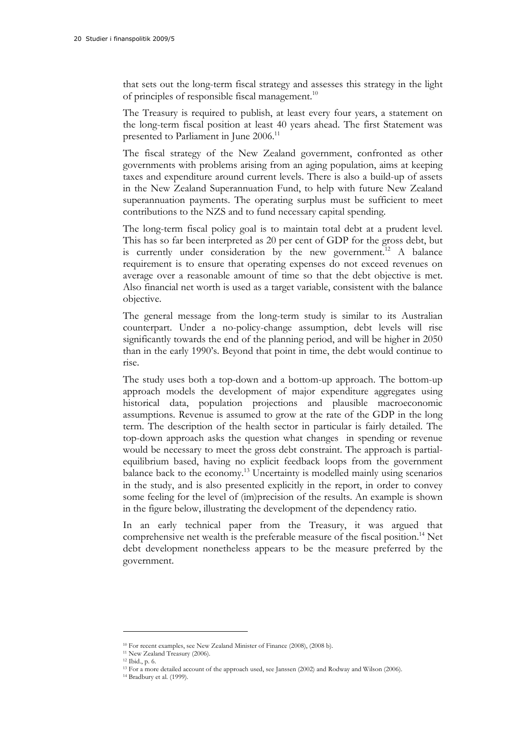that sets out the long-term fiscal strategy and assesses this strategy in the light of principles of responsible fiscal management.<sup>10</sup>

The Treasury is required to publish, at least every four years, a statement on the long-term fiscal position at least 40 years ahead. The first Statement was presented to Parliament in June 2006.<sup>11</sup>

The fiscal strategy of the New Zealand government, confronted as other governments with problems arising from an aging population, aims at keeping taxes and expenditure around current levels. There is also a build-up of assets in the New Zealand Superannuation Fund, to help with future New Zealand superannuation payments. The operating surplus must be sufficient to meet contributions to the NZS and to fund necessary capital spending.

The long-term fiscal policy goal is to maintain total debt at a prudent level. This has so far been interpreted as 20 per cent of GDP for the gross debt, but is currently under consideration by the new government.<sup>12</sup> A balance requirement is to ensure that operating expenses do not exceed revenues on average over a reasonable amount of time so that the debt objective is met. Also financial net worth is used as a target variable, consistent with the balance objective.

The general message from the long-term study is similar to its Australian counterpart. Under a no-policy-change assumption, debt levels will rise significantly towards the end of the planning period, and will be higher in 2050 than in the early 1990's. Beyond that point in time, the debt would continue to rise.

The study uses both a top-down and a bottom-up approach. The bottom-up approach models the development of major expenditure aggregates using historical data, population projections and plausible macroeconomic assumptions. Revenue is assumed to grow at the rate of the GDP in the long term. The description of the health sector in particular is fairly detailed. The top-down approach asks the question what changes in spending or revenue would be necessary to meet the gross debt constraint. The approach is partialequilibrium based, having no explicit feedback loops from the government balance back to the economy.<sup>13</sup> Uncertainty is modelled mainly using scenarios in the study, and is also presented explicitly in the report, in order to convey some feeling for the level of (im)precision of the results. An example is shown in the figure below, illustrating the development of the dependency ratio.

In an early technical paper from the Treasury, it was argued that comprehensive net wealth is the preferable measure of the fiscal position.<sup>14</sup> Net debt development nonetheless appears to be the measure preferred by the government.

<sup>10</sup> For recent examples, see New Zealand Minister of Finance (2008), (2008 b).

<sup>11</sup> New Zealand Treasury (2006).

<sup>12</sup> Ibid., p. 6.

<sup>13</sup> For a more detailed account of the approach used, see Janssen (2002) and Rodway and Wilson (2006). 14 Bradbury et al. (1999).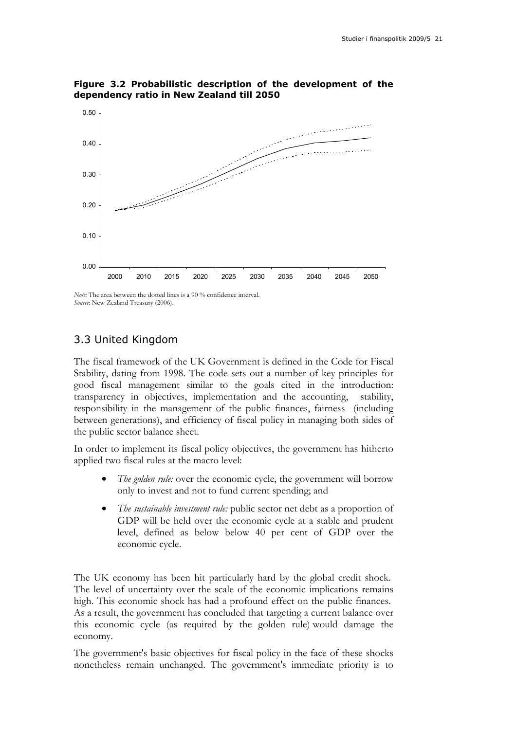

**Figure 3.2 Probabilistic description of the development of the dependency ratio in New Zealand till 2050** 

*Note:* The area between the dotted lines is a 90 % confidence interval. *Source*: New Zealand Treasury (2006).

### 3.3 United Kingdom

The fiscal framework of the UK Government is defined in the Code for Fiscal Stability, dating from 1998. The code sets out a number of key principles for good fiscal management similar to the goals cited in the introduction: transparency in objectives, implementation and the accounting, stability, responsibility in the management of the public finances, fairness (including between generations), and efficiency of fiscal policy in managing both sides of the public sector balance sheet.

In order to implement its fiscal policy objectives, the government has hitherto applied two fiscal rules at the macro level:

- The golden rule: over the economic cycle, the government will borrow only to invest and not to fund current spending; and
- *The sustainable investment rule:* public sector net debt as a proportion of GDP will be held over the economic cycle at a stable and prudent level, defined as below below 40 per cent of GDP over the economic cycle.

The UK economy has been hit particularly hard by the global credit shock. The level of uncertainty over the scale of the economic implications remains high. This economic shock has had a profound effect on the public finances. As a result, the government has concluded that targeting a current balance over this economic cycle (as required by the golden rule) would damage the economy.

The government's basic objectives for fiscal policy in the face of these shocks nonetheless remain unchanged. The government's immediate priority is to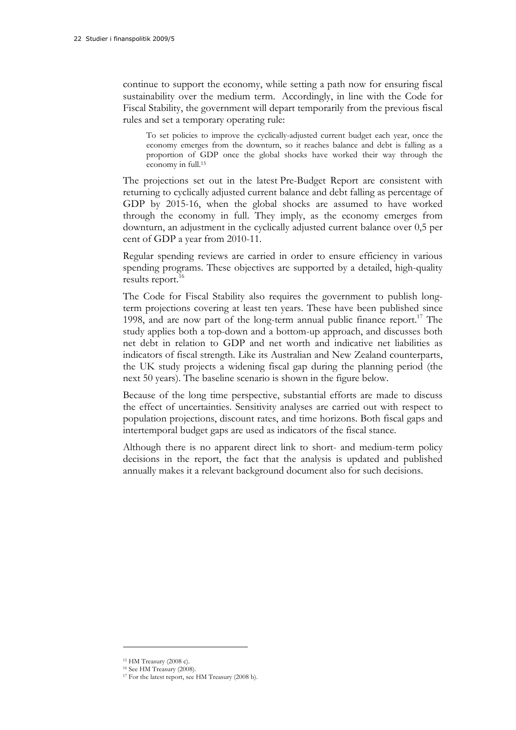continue to support the economy, while setting a path now for ensuring fiscal sustainability over the medium term. Accordingly, in line with the Code for Fiscal Stability, the government will depart temporarily from the previous fiscal rules and set a temporary operating rule:

To set policies to improve the cyclically-adjusted current budget each year, once the economy emerges from the downturn, so it reaches balance and debt is falling as a proportion of GDP once the global shocks have worked their way through the economy in full.15

The projections set out in the latest Pre-Budget Report are consistent with returning to cyclically adjusted current balance and debt falling as percentage of GDP by 2015-16, when the global shocks are assumed to have worked through the economy in full. They imply, as the economy emerges from downturn, an adjustment in the cyclically adjusted current balance over 0,5 per cent of GDP a year from 2010-11.

Regular spending reviews are carried in order to ensure efficiency in various spending programs. These objectives are supported by a detailed, high-quality results report.<sup>16</sup>

The Code for Fiscal Stability also requires the government to publish longterm projections covering at least ten years. These have been published since 1998, and are now part of the long-term annual public finance report.<sup>17</sup> The study applies both a top-down and a bottom-up approach, and discusses both net debt in relation to GDP and net worth and indicative net liabilities as indicators of fiscal strength. Like its Australian and New Zealand counterparts, the UK study projects a widening fiscal gap during the planning period (the next 50 years). The baseline scenario is shown in the figure below.

Because of the long time perspective, substantial efforts are made to discuss the effect of uncertainties. Sensitivity analyses are carried out with respect to population projections, discount rates, and time horizons. Both fiscal gaps and intertemporal budget gaps are used as indicators of the fiscal stance.

Although there is no apparent direct link to short- and medium-term policy decisions in the report, the fact that the analysis is updated and published annually makes it a relevant background document also for such decisions.

<sup>15</sup> HM Treasury (2008 c).

<sup>16</sup> See HM Treasury (2008).

<sup>&</sup>lt;sup>17</sup> For the latest report, see HM Treasury (2008 b).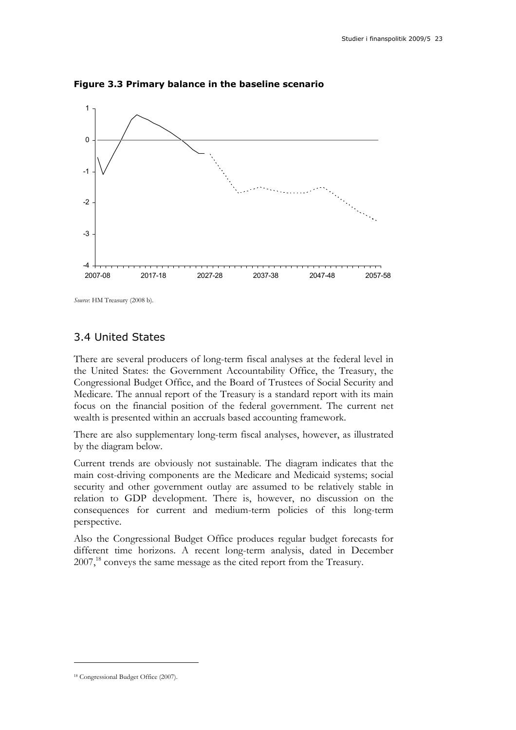

**Figure 3.3 Primary balance in the baseline scenario** 

*Source*: HM Treasury (2008 b).

### 3.4 United States

There are several producers of long-term fiscal analyses at the federal level in the United States: the Government Accountability Office, the Treasury, the Congressional Budget Office, and the Board of Trustees of Social Security and Medicare. The annual report of the Treasury is a standard report with its main focus on the financial position of the federal government. The current net wealth is presented within an accruals based accounting framework.

There are also supplementary long-term fiscal analyses, however, as illustrated by the diagram below.

Current trends are obviously not sustainable. The diagram indicates that the main cost-driving components are the Medicare and Medicaid systems; social security and other government outlay are assumed to be relatively stable in relation to GDP development. There is, however, no discussion on the consequences for current and medium-term policies of this long-term perspective.

Also the Congressional Budget Office produces regular budget forecasts for different time horizons. A recent long-term analysis, dated in December 2007,<sup>18</sup> conveys the same message as the cited report from the Treasury.

<sup>18</sup> Congressional Budget Office (2007).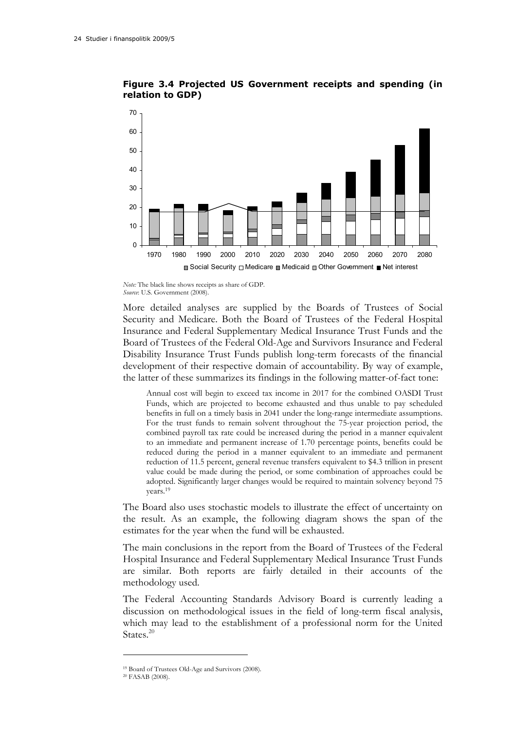



*Note:* The black line shows receipts as share of GDP. *Source*: U.S. Government (2008).

More detailed analyses are supplied by the Boards of Trustees of Social Security and Medicare. Both the Board of Trustees of the Federal Hospital Insurance and Federal Supplementary Medical Insurance Trust Funds and the Board of Trustees of the Federal Old-Age and Survivors Insurance and Federal Disability Insurance Trust Funds publish long-term forecasts of the financial development of their respective domain of accountability. By way of example, the latter of these summarizes its findings in the following matter-of-fact tone:

Annual cost will begin to exceed tax income in 2017 for the combined OASDI Trust Funds, which are projected to become exhausted and thus unable to pay scheduled benefits in full on a timely basis in 2041 under the long-range intermediate assumptions. For the trust funds to remain solvent throughout the 75-year projection period, the combined payroll tax rate could be increased during the period in a manner equivalent to an immediate and permanent increase of 1.70 percentage points, benefits could be reduced during the period in a manner equivalent to an immediate and permanent reduction of 11.5 percent, general revenue transfers equivalent to \$4.3 trillion in present value could be made during the period, or some combination of approaches could be adopted. Significantly larger changes would be required to maintain solvency beyond 75 years.19

The Board also uses stochastic models to illustrate the effect of uncertainty on the result. As an example, the following diagram shows the span of the estimates for the year when the fund will be exhausted.

The main conclusions in the report from the Board of Trustees of the Federal Hospital Insurance and Federal Supplementary Medical Insurance Trust Funds are similar. Both reports are fairly detailed in their accounts of the methodology used.

The Federal Accounting Standards Advisory Board is currently leading a discussion on methodological issues in the field of long-term fiscal analysis, which may lead to the establishment of a professional norm for the United States.<sup>20</sup>

<sup>19</sup> Board of Trustees Old-Age and Survivors (2008).

<sup>20</sup> FASAB (2008).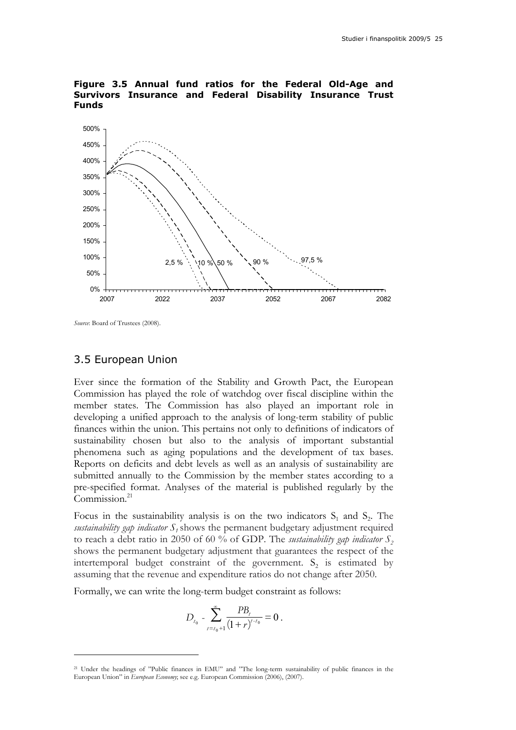

#### **Figure 3.5 Annual fund ratios for the Federal Old-Age and Survivors Insurance and Federal Disability Insurance Trust Funds**

*Source*: Board of Trustees (2008).

 $\overline{a}$ 

#### 3.5 European Union

Ever since the formation of the Stability and Growth Pact, the European Commission has played the role of watchdog over fiscal discipline within the member states. The Commission has also played an important role in developing a unified approach to the analysis of long-term stability of public finances within the union. This pertains not only to definitions of indicators of sustainability chosen but also to the analysis of important substantial phenomena such as aging populations and the development of tax bases. Reports on deficits and debt levels as well as an analysis of sustainability are submitted annually to the Commission by the member states according to a pre-specified format. Analyses of the material is published regularly by the Commission. $^{21}$ 

Focus in the sustainability analysis is on the two indicators  $S_1$  and  $S_2$ . The *sustainability gap indicator*  $S<sub>1</sub>$  shows the permanent budgetary adjustment required to reach a debt ratio in 2050 of 60 % of GDP. The *sustainability gap indicator*  $S_2$ shows the permanent budgetary adjustment that guarantees the respect of the intertemporal budget constraint of the government.  $S_2$  is estimated by assuming that the revenue and expenditure ratios do not change after 2050.

Formally, we can write the long-term budget constraint as follows:

$$
D_{t_0} - \sum_{t=t_0+1}^{\infty} \frac{PB_t}{(1+r)^{t-t_0}} = 0.
$$

<sup>21</sup> Under the headings of "Public finances in EMU" and "The long-term sustainability of public finances in the European Union" in *European Economy*; see e.g. European Commission (2006), (2007).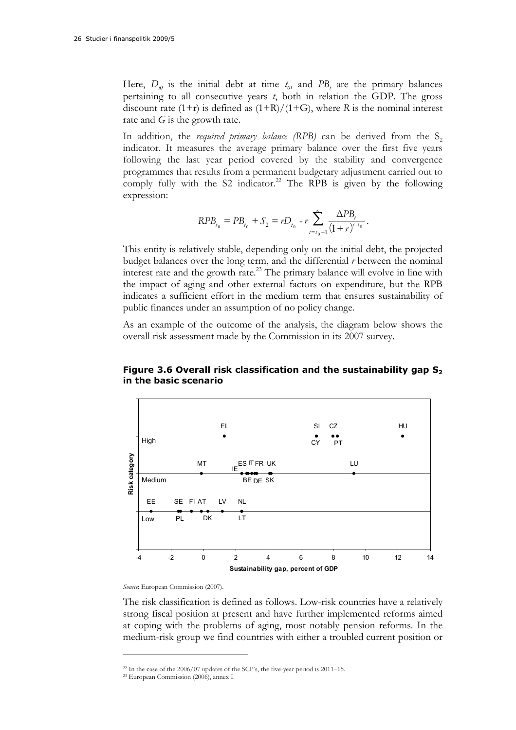Here,  $D_{\nu}$  is the initial debt at time  $t_0$ , and  $PB_t$  are the primary balances pertaining to all consecutive years *t*, both in relation the GDP. The gross discount rate  $(1+r)$  is defined as  $(1+R)/(1+G)$ , where *R* is the nominal interest rate and *G* is the growth rate.

In addition, the *required primary balance* (RPB) can be derived from the  $S_2$ indicator. It measures the average primary balance over the first five years following the last year period covered by the stability and convergence programmes that results from a permanent budgetary adjustment carried out to comply fully with the S2 indicator.<sup>22</sup> The RPB is given by the following expression:

$$
RPB_{t_0}=PB_{t_0}+S_2=rD_{t_0}-r\sum_{t=t_0+1}^{\infty}\frac{\Delta PB_{t}}{(1+r)^{t-t_0}}.
$$

This entity is relatively stable, depending only on the initial debt, the projected budget balances over the long term, and the differential *r* between the nominal interest rate and the growth rate.<sup>23</sup> The primary balance will evolve in line with the impact of aging and other external factors on expenditure, but the RPB indicates a sufficient effort in the medium term that ensures sustainability of public finances under an assumption of no policy change.

As an example of the outcome of the analysis, the diagram below shows the overall risk assessment made by the Commission in its 2007 survey.



#### **Figure 3.6 Overall risk classification and the sustainability gap S2 in the basic scenario**

*Source*: European Commission (2007).

The risk classification is defined as follows. Low-risk countries have a relatively strong fiscal position at present and have further implemented reforms aimed at coping with the problems of aging, most notably pension reforms. In the medium-risk group we find countries with either a troubled current position or

<sup>22</sup> In the case of the 2006/07 updates of the SCP's, the five-year period is 2011–15.

<sup>23</sup> European Commission (2006), annex I.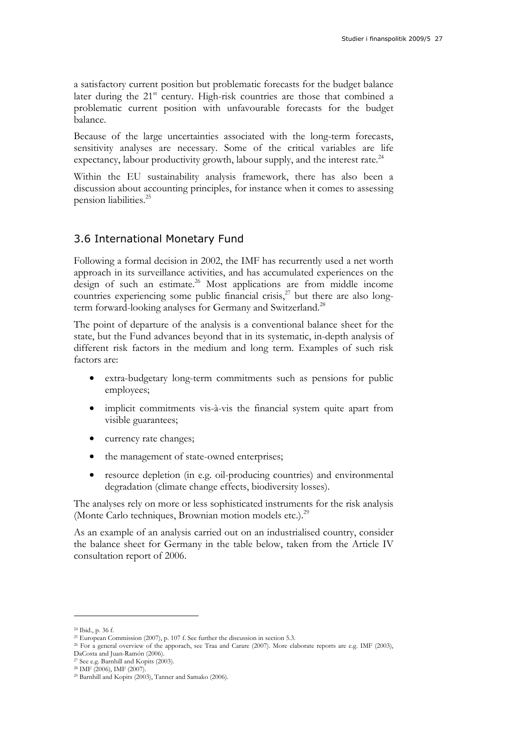a satisfactory current position but problematic forecasts for the budget balance later during the  $21<sup>st</sup>$  century. High-risk countries are those that combined a problematic current position with unfavourable forecasts for the budget balance.

Because of the large uncertainties associated with the long-term forecasts, sensitivity analyses are necessary. Some of the critical variables are life expectancy, labour productivity growth, labour supply, and the interest rate.<sup>24</sup>

Within the EU sustainability analysis framework, there has also been a discussion about accounting principles, for instance when it comes to assessing pension liabilities.25

### 3.6 International Monetary Fund

Following a formal decision in 2002, the IMF has recurrently used a net worth approach in its surveillance activities, and has accumulated experiences on the design of such an estimate.<sup>26</sup> Most applications are from middle income countries experiencing some public financial crisis, $27$  but there are also longterm forward-looking analyses for Germany and Switzerland.<sup>28</sup>

The point of departure of the analysis is a conventional balance sheet for the state, but the Fund advances beyond that in its systematic, in-depth analysis of different risk factors in the medium and long term. Examples of such risk factors are:

- extra-budgetary long-term commitments such as pensions for public employees;
- implicit commitments vis-à-vis the financial system quite apart from visible guarantees;
- currency rate changes;
- the management of state-owned enterprises;
- resource depletion (in e.g. oil-producing countries) and environmental degradation (climate change effects, biodiversity losses).

The analyses rely on more or less sophisticated instruments for the risk analysis (Monte Carlo techniques, Brownian motion models etc.).<sup>29</sup>

As an example of an analysis carried out on an industrialised country, consider the balance sheet for Germany in the table below, taken from the Article IV consultation report of 2006.

<sup>&</sup>lt;sup>24</sup> Ibid., p. 36 f.<br><sup>25</sup> European Commission (2007), p. 107 f. See further the discussion in section 5.3.

<sup>&</sup>lt;sup>26</sup> For a general overview of the apporach, see Traa and Carare (2007). More elaborate reports are e.g. IMF (2003),

DaCosta and Juan-Ramón (2006).

<sup>27</sup> See e.g. Barnhill and Kopits (2003).

<sup>28</sup> IMF (2006), IMF (2007).

<sup>29</sup> Barnhill and Kopits (2003), Tanner and Samako (2006).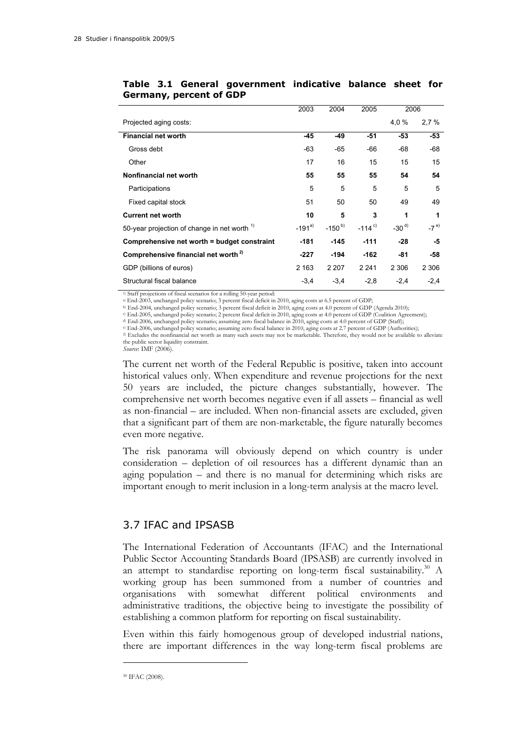|                                                         | 2003       | 2004       | 2005                 | 2006      |         |
|---------------------------------------------------------|------------|------------|----------------------|-----------|---------|
| Projected aging costs:                                  |            |            |                      | 4,0%      | 2.7%    |
| <b>Financial net worth</b>                              | -45        | $-49$      | -51                  | $-53$     | $-53$   |
| Gross debt                                              | -63        | $-65$      | -66                  | -68       | -68     |
| Other                                                   | 17         | 16         | 15                   | 15        | 15      |
| Nonfinancial net worth                                  | 55         | 55         | 55                   | 54        | 54      |
| Participations                                          | 5          | 5          | 5                    | 5         | 5       |
| Fixed capital stock                                     | 51         | 50         | 50                   | 49        | 49      |
| <b>Current net worth</b>                                | 10         | 5          | 3                    | 1         | 1       |
| 50-year projection of change in net worth <sup>1)</sup> | $-191^{a}$ | $-150^{b}$ | $-114$ <sup>c)</sup> | $-30^{d}$ | $-7e$   |
| Comprehensive net worth = budget constraint             | $-181$     | $-145$     | $-111$               | $-28$     | -5      |
| Comprehensive financial net worth <sup>2)</sup>         | $-227$     | -194       | $-162$               | -81       | -58     |
| GDP (billions of euros)                                 | 2 1 6 3    | 2 2 0 7    | 2 2 4 1              | 2 3 0 6   | 2 3 0 6 |
| Structural fiscal balance                               | $-3,4$     | $-3,4$     | $-2,8$               | $-2,4$    | $-2,4$  |

#### **Table 3.1 General government indicative balance sheet for Germany, percent of GDP**

<sup>1)</sup> Staff projections of fiscal scenarios for a rolling 50-year period:

a) End-2003, unchanged policy scenario; 3 percent fiscal deficit in 2010, aging costs at 6.5 percent of GDP;

b) End-2004, unchanged policy scenario; 3 percent fiscal deficit in 2010, aging costs at 4.0 percent of GDP (Agenda 2010);

 $\begin{array}{l} \text{\#} \text{End-2006, unchanged policy scenario; assuming zero fiscal balance in 2010, aging costs at 4.0 percent of GDP (Staff);} \\ \text{\#} \text{End-2006, unchanged policy scenario; assuming zero fiscal balance in 2010, aging costs at 2.7 percent of GDP (Authorities);} \\ \text{\#} \text{Excludes the nonfinancial net worth as many such assets may not be marketable. Therefore, they would not be available to alleviate the nonfinancial network.} \end{array}$ the public sector liquidity constraint.

*Source*: IMF (2006).

The current net worth of the Federal Republic is positive, taken into account historical values only. When expenditure and revenue projections for the next 50 years are included, the picture changes substantially, however. The comprehensive net worth becomes negative even if all assets – financial as well as non-financial – are included. When non-financial assets are excluded, given that a significant part of them are non-marketable, the figure naturally becomes even more negative.

The risk panorama will obviously depend on which country is under consideration – depletion of oil resources has a different dynamic than an aging population – and there is no manual for determining which risks are important enough to merit inclusion in a long-term analysis at the macro level.

### 3.7 IFAC and IPSASB

The International Federation of Accountants (IFAC) and the International Public Sector Accounting Standards Board (IPSASB) are currently involved in an attempt to standardise reporting on long-term fiscal sustainability.<sup>30</sup> A working group has been summoned from a number of countries and organisations with somewhat different political environments and administrative traditions, the objective being to investigate the possibility of establishing a common platform for reporting on fiscal sustainability.

Even within this fairly homogenous group of developed industrial nations, there are important differences in the way long-term fiscal problems are

<sup>30</sup> IFAC (2008).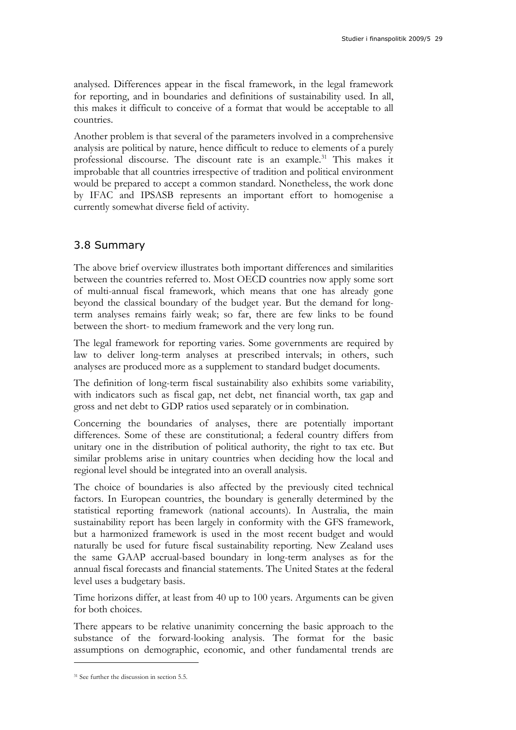analysed. Differences appear in the fiscal framework, in the legal framework for reporting, and in boundaries and definitions of sustainability used. In all, this makes it difficult to conceive of a format that would be acceptable to all countries.

Another problem is that several of the parameters involved in a comprehensive analysis are political by nature, hence difficult to reduce to elements of a purely professional discourse. The discount rate is an example.<sup>31</sup> This makes it improbable that all countries irrespective of tradition and political environment would be prepared to accept a common standard. Nonetheless, the work done by IFAC and IPSASB represents an important effort to homogenise a currently somewhat diverse field of activity.

### 3.8 Summary

The above brief overview illustrates both important differences and similarities between the countries referred to. Most OECD countries now apply some sort of multi-annual fiscal framework, which means that one has already gone beyond the classical boundary of the budget year. But the demand for longterm analyses remains fairly weak; so far, there are few links to be found between the short- to medium framework and the very long run.

The legal framework for reporting varies. Some governments are required by law to deliver long-term analyses at prescribed intervals; in others, such analyses are produced more as a supplement to standard budget documents.

The definition of long-term fiscal sustainability also exhibits some variability, with indicators such as fiscal gap, net debt, net financial worth, tax gap and gross and net debt to GDP ratios used separately or in combination.

Concerning the boundaries of analyses, there are potentially important differences. Some of these are constitutional; a federal country differs from unitary one in the distribution of political authority, the right to tax etc. But similar problems arise in unitary countries when deciding how the local and regional level should be integrated into an overall analysis.

The choice of boundaries is also affected by the previously cited technical factors. In European countries, the boundary is generally determined by the statistical reporting framework (national accounts). In Australia, the main sustainability report has been largely in conformity with the GFS framework, but a harmonized framework is used in the most recent budget and would naturally be used for future fiscal sustainability reporting. New Zealand uses the same GAAP accrual-based boundary in long-term analyses as for the annual fiscal forecasts and financial statements. The United States at the federal level uses a budgetary basis.

Time horizons differ, at least from 40 up to 100 years. Arguments can be given for both choices.

There appears to be relative unanimity concerning the basic approach to the substance of the forward-looking analysis. The format for the basic assumptions on demographic, economic, and other fundamental trends are

<sup>31</sup> See further the discussion in section 5.5.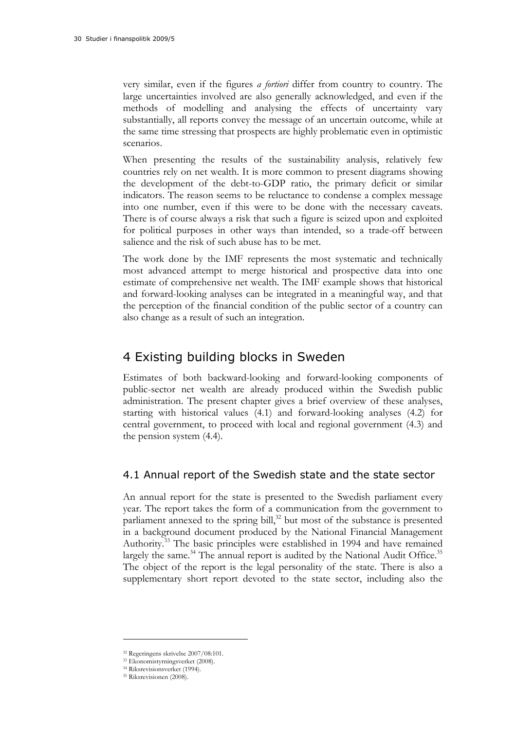very similar, even if the figures *a fortiori* differ from country to country. The large uncertainties involved are also generally acknowledged, and even if the methods of modelling and analysing the effects of uncertainty vary substantially, all reports convey the message of an uncertain outcome, while at the same time stressing that prospects are highly problematic even in optimistic scenarios.

When presenting the results of the sustainability analysis, relatively few countries rely on net wealth. It is more common to present diagrams showing the development of the debt-to-GDP ratio, the primary deficit or similar indicators. The reason seems to be reluctance to condense a complex message into one number, even if this were to be done with the necessary caveats. There is of course always a risk that such a figure is seized upon and exploited for political purposes in other ways than intended, so a trade-off between salience and the risk of such abuse has to be met.

The work done by the IMF represents the most systematic and technically most advanced attempt to merge historical and prospective data into one estimate of comprehensive net wealth. The IMF example shows that historical and forward-looking analyses can be integrated in a meaningful way, and that the perception of the financial condition of the public sector of a country can also change as a result of such an integration.

## 4 Existing building blocks in Sweden

Estimates of both backward-looking and forward-looking components of public-sector net wealth are already produced within the Swedish public administration. The present chapter gives a brief overview of these analyses, starting with historical values (4.1) and forward-looking analyses (4.2) for central government, to proceed with local and regional government (4.3) and the pension system (4.4).

### 4.1 Annual report of the Swedish state and the state sector

An annual report for the state is presented to the Swedish parliament every year. The report takes the form of a communication from the government to parliament annexed to the spring bill, $32$  but most of the substance is presented in a background document produced by the National Financial Management Authority.33 The basic principles were established in 1994 and have remained largely the same.<sup>34</sup> The annual report is audited by the National Audit Office.<sup>35</sup> The object of the report is the legal personality of the state. There is also a supplementary short report devoted to the state sector, including also the

<sup>32</sup> Regeringens skrivelse 2007/08:101.

<sup>33</sup> Ekonomistyrningsverket (2008).

<sup>34</sup> Riksrevisionsverket (1994).

<sup>35</sup> Riksrevisionen (2008).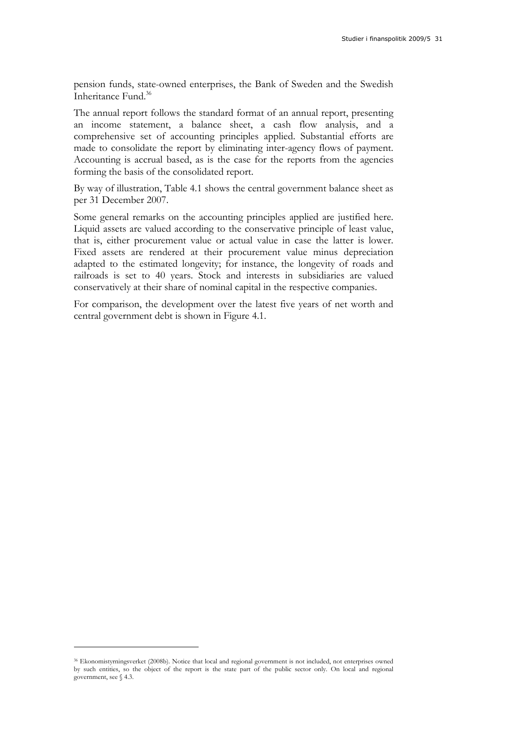pension funds, state-owned enterprises, the Bank of Sweden and the Swedish Inheritance Fund.<sup>36</sup>

The annual report follows the standard format of an annual report, presenting an income statement, a balance sheet, a cash flow analysis, and a comprehensive set of accounting principles applied. Substantial efforts are made to consolidate the report by eliminating inter-agency flows of payment. Accounting is accrual based, as is the case for the reports from the agencies forming the basis of the consolidated report.

By way of illustration, Table 4.1 shows the central government balance sheet as per 31 December 2007.

Some general remarks on the accounting principles applied are justified here. Liquid assets are valued according to the conservative principle of least value, that is, either procurement value or actual value in case the latter is lower. Fixed assets are rendered at their procurement value minus depreciation adapted to the estimated longevity; for instance, the longevity of roads and railroads is set to 40 years. Stock and interests in subsidiaries are valued conservatively at their share of nominal capital in the respective companies.

For comparison, the development over the latest five years of net worth and central government debt is shown in Figure 4.1.

<sup>36</sup> Ekonomistyrningsverket (2008b). Notice that local and regional government is not included, not enterprises owned by such entities, so the object of the report is the state part of the public sector only. On local and regional government, see § 4.3.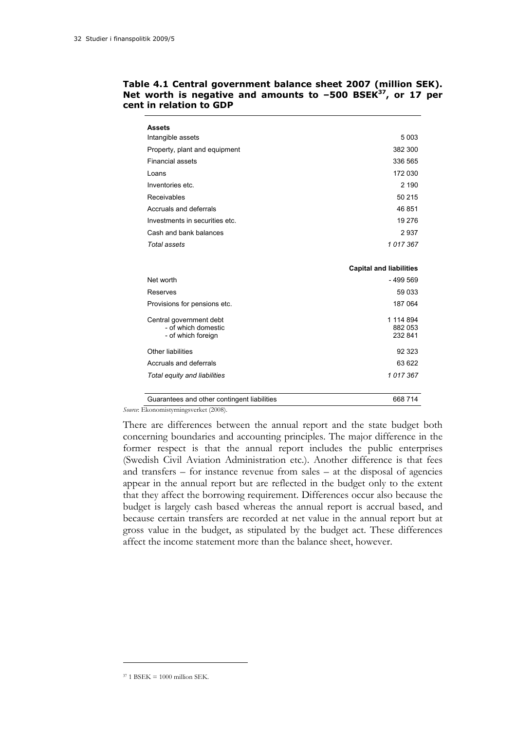| <b>Assets</b>                                                        |                                 |
|----------------------------------------------------------------------|---------------------------------|
| Intangible assets                                                    | 5 0 0 3                         |
| Property, plant and equipment                                        | 382 300                         |
| <b>Financial assets</b>                                              | 336 565                         |
| Loans                                                                | 172 030                         |
| Inventories etc.                                                     | 2 190                           |
| Receivables                                                          | 50 215                          |
| Accruals and deferrals                                               | 46 851                          |
| Investments in securities etc.                                       | 19 276                          |
| Cash and bank balances                                               | 2937                            |
| Total assets                                                         | 1017367                         |
|                                                                      |                                 |
|                                                                      | <b>Capital and liabilities</b>  |
| Net worth                                                            | $-499569$                       |
| Reserves                                                             | 59 033                          |
| Provisions for pensions etc.                                         | 187 064                         |
| Central government debt<br>- of which domestic<br>- of which foreign | 1 114 894<br>882 053<br>232 841 |
| Other liabilities                                                    | 92 323                          |
| Accruals and deferrals                                               | 63 622                          |
| Total equity and liabilities                                         | 1017367                         |
| Guarantees and other contingent liabilities                          | 668 714                         |

#### **Table 4.1 Central government balance sheet 2007 (million SEK).**  Net worth is negative and amounts to -500 BSEK<sup>37</sup>, or 17 per **cent in relation to GDP**

*Source*: Ekonomistyrningsverket (2008).

There are differences between the annual report and the state budget both concerning boundaries and accounting principles. The major difference in the former respect is that the annual report includes the public enterprises (Swedish Civil Aviation Administration etc.). Another difference is that fees and transfers – for instance revenue from sales – at the disposal of agencies appear in the annual report but are reflected in the budget only to the extent that they affect the borrowing requirement. Differences occur also because the budget is largely cash based whereas the annual report is accrual based, and because certain transfers are recorded at net value in the annual report but at gross value in the budget, as stipulated by the budget act. These differences affect the income statement more than the balance sheet, however.

 $37$  1 BSEK = 1000 million SEK.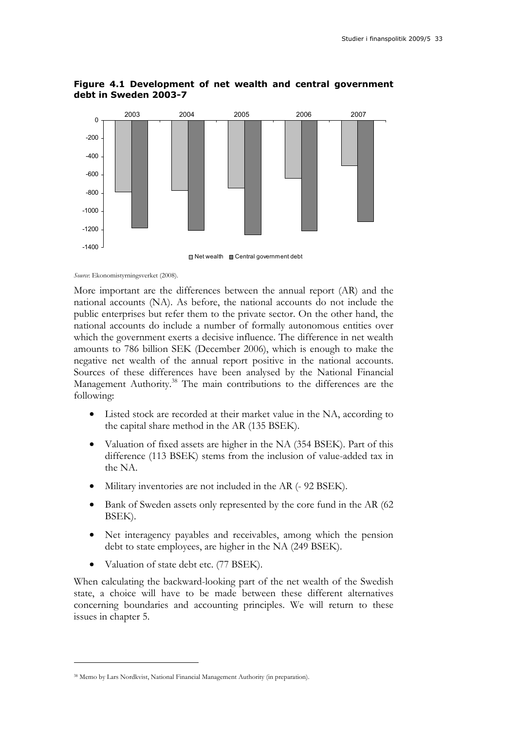

### **Figure 4.1 Development of net wealth and central government debt in Sweden 2003-7**

*Source*: Ekonomistyrningsverket (2008).

More important are the differences between the annual report (AR) and the national accounts (NA). As before, the national accounts do not include the public enterprises but refer them to the private sector. On the other hand, the national accounts do include a number of formally autonomous entities over which the government exerts a decisive influence. The difference in net wealth amounts to 786 billion SEK (December 2006), which is enough to make the negative net wealth of the annual report positive in the national accounts. Sources of these differences have been analysed by the National Financial Management Authority.<sup>38</sup> The main contributions to the differences are the following:

- Listed stock are recorded at their market value in the NA, according to the capital share method in the AR (135 BSEK).
- Valuation of fixed assets are higher in the NA (354 BSEK). Part of this difference (113 BSEK) stems from the inclusion of value-added tax in the NA.
- Military inventories are not included in the AR (- 92 BSEK).
- Bank of Sweden assets only represented by the core fund in the AR (62) BSEK).
- Net interagency payables and receivables, among which the pension debt to state employees, are higher in the NA (249 BSEK).
- Valuation of state debt etc. (77 BSEK).

When calculating the backward-looking part of the net wealth of the Swedish state, a choice will have to be made between these different alternatives concerning boundaries and accounting principles. We will return to these issues in chapter 5.

<sup>38</sup> Memo by Lars Nordkvist, National Financial Management Authority (in preparation).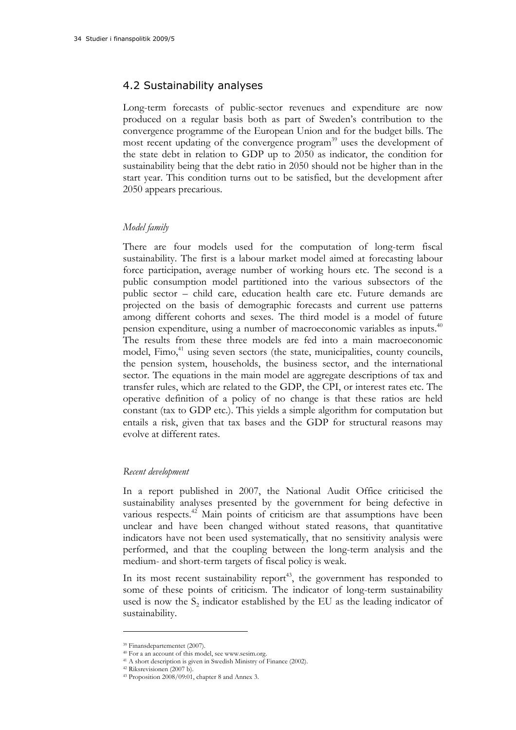### 4.2 Sustainability analyses

Long-term forecasts of public-sector revenues and expenditure are now produced on a regular basis both as part of Sweden's contribution to the convergence programme of the European Union and for the budget bills. The most recent updating of the convergence program<sup>39</sup> uses the development of the state debt in relation to GDP up to 2050 as indicator, the condition for sustainability being that the debt ratio in 2050 should not be higher than in the start year. This condition turns out to be satisfied, but the development after 2050 appears precarious.

#### *Model family*

There are four models used for the computation of long-term fiscal sustainability. The first is a labour market model aimed at forecasting labour force participation, average number of working hours etc. The second is a public consumption model partitioned into the various subsectors of the public sector – child care, education health care etc. Future demands are projected on the basis of demographic forecasts and current use patterns among different cohorts and sexes. The third model is a model of future pension expenditure, using a number of macroeconomic variables as inputs.40 The results from these three models are fed into a main macroeconomic model, Fimo,<sup>41</sup> using seven sectors (the state, municipalities, county councils, the pension system, households, the business sector, and the international sector. The equations in the main model are aggregate descriptions of tax and transfer rules, which are related to the GDP, the CPI, or interest rates etc. The operative definition of a policy of no change is that these ratios are held constant (tax to GDP etc.). This yields a simple algorithm for computation but entails a risk, given that tax bases and the GDP for structural reasons may evolve at different rates.

#### *Recent development*

In a report published in 2007, the National Audit Office criticised the sustainability analyses presented by the government for being defective in various respects.<sup>42</sup> Main points of criticism are that assumptions have been unclear and have been changed without stated reasons, that quantitative indicators have not been used systematically, that no sensitivity analysis were performed, and that the coupling between the long-term analysis and the medium- and short-term targets of fiscal policy is weak.

In its most recent sustainability report<sup>43</sup>, the government has responded to some of these points of criticism. The indicator of long-term sustainability used is now the  $S<sub>2</sub>$  indicator established by the EU as the leading indicator of sustainability.

<sup>39</sup> Finansdepartementet (2007).

<sup>40</sup> For a an account of this model, see www.sesim.org.

<sup>41</sup> A short description is given in Swedish Ministry of Finance (2002). 42 Riksrevisionen (2007 b).

<sup>43</sup> Proposition 2008/09:01, chapter 8 and Annex 3.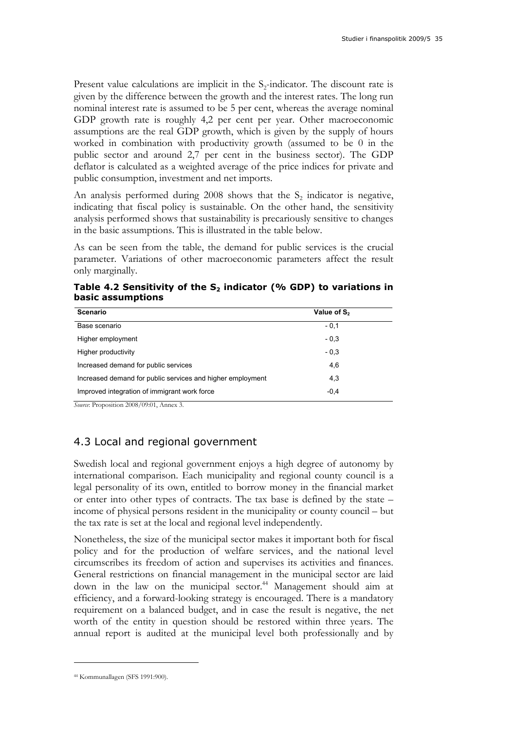Present value calculations are implicit in the  $S_2$ -indicator. The discount rate is given by the difference between the growth and the interest rates. The long run nominal interest rate is assumed to be 5 per cent, whereas the average nominal GDP growth rate is roughly 4,2 per cent per year. Other macroeconomic assumptions are the real GDP growth, which is given by the supply of hours worked in combination with productivity growth (assumed to be 0 in the public sector and around 2,7 per cent in the business sector). The GDP deflator is calculated as a weighted average of the price indices for private and public consumption, investment and net imports.

An analysis performed during  $2008$  shows that the  $S_2$  indicator is negative, indicating that fiscal policy is sustainable. On the other hand, the sensitivity analysis performed shows that sustainability is precariously sensitive to changes in the basic assumptions. This is illustrated in the table below.

As can be seen from the table, the demand for public services is the crucial parameter. Variations of other macroeconomic parameters affect the result only marginally.

Table 4.2 Sensitivity of the S<sub>2</sub> indicator (% GDP) to variations in **basic assumptions** 

| <b>Scenario</b>                                            | Value of S <sub>2</sub> |
|------------------------------------------------------------|-------------------------|
| Base scenario                                              | $-0,1$                  |
| Higher employment                                          | $-0.3$                  |
| Higher productivity                                        | $-0.3$                  |
| Increased demand for public services                       | 4,6                     |
| Increased demand for public services and higher employment | 4,3                     |
| Improved integration of immigrant work force               | $-0.4$                  |

*Source*: Proposition 2008/09:01, Annex 3.

### 4.3 Local and regional government

Swedish local and regional government enjoys a high degree of autonomy by international comparison. Each municipality and regional county council is a legal personality of its own, entitled to borrow money in the financial market or enter into other types of contracts. The tax base is defined by the state – income of physical persons resident in the municipality or county council – but the tax rate is set at the local and regional level independently.

Nonetheless, the size of the municipal sector makes it important both for fiscal policy and for the production of welfare services, and the national level circumscribes its freedom of action and supervises its activities and finances. General restrictions on financial management in the municipal sector are laid down in the law on the municipal sector.44 Management should aim at efficiency, and a forward-looking strategy is encouraged. There is a mandatory requirement on a balanced budget, and in case the result is negative, the net worth of the entity in question should be restored within three years. The annual report is audited at the municipal level both professionally and by

<sup>44</sup> Kommunallagen (SFS 1991:900).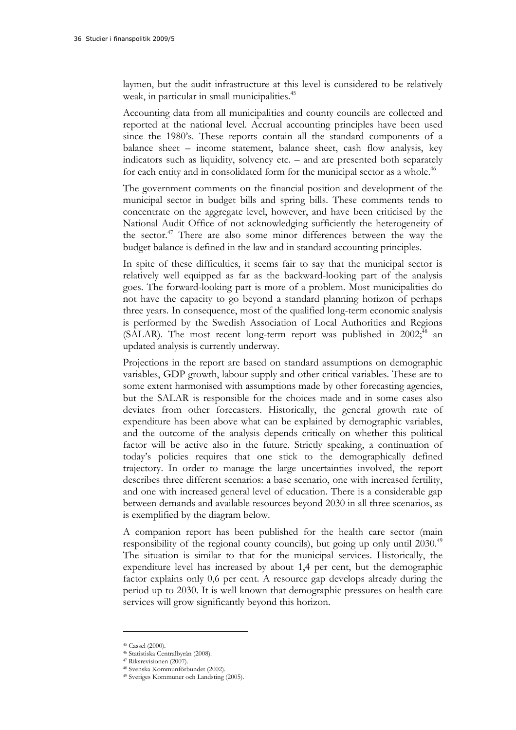laymen, but the audit infrastructure at this level is considered to be relatively weak, in particular in small municipalities.<sup>45</sup>

Accounting data from all municipalities and county councils are collected and reported at the national level. Accrual accounting principles have been used since the 1980's. These reports contain all the standard components of a balance sheet – income statement, balance sheet, cash flow analysis, key indicators such as liquidity, solvency etc. – and are presented both separately for each entity and in consolidated form for the municipal sector as a whole.<sup>46</sup>

The government comments on the financial position and development of the municipal sector in budget bills and spring bills. These comments tends to concentrate on the aggregate level, however, and have been criticised by the National Audit Office of not acknowledging sufficiently the heterogeneity of the sector.<sup>47</sup> There are also some minor differences between the way the budget balance is defined in the law and in standard accounting principles.

In spite of these difficulties, it seems fair to say that the municipal sector is relatively well equipped as far as the backward-looking part of the analysis goes. The forward-looking part is more of a problem. Most municipalities do not have the capacity to go beyond a standard planning horizon of perhaps three years. In consequence, most of the qualified long-term economic analysis is performed by the Swedish Association of Local Authorities and Regions (SALAR). The most recent long-term report was published in  $2002$ ;<sup>48</sup> an updated analysis is currently underway.

Projections in the report are based on standard assumptions on demographic variables, GDP growth, labour supply and other critical variables. These are to some extent harmonised with assumptions made by other forecasting agencies, but the SALAR is responsible for the choices made and in some cases also deviates from other forecasters. Historically, the general growth rate of expenditure has been above what can be explained by demographic variables, and the outcome of the analysis depends critically on whether this political factor will be active also in the future. Strictly speaking, a continuation of today's policies requires that one stick to the demographically defined trajectory. In order to manage the large uncertainties involved, the report describes three different scenarios: a base scenario, one with increased fertility, and one with increased general level of education. There is a considerable gap between demands and available resources beyond 2030 in all three scenarios, as is exemplified by the diagram below.

A companion report has been published for the health care sector (main responsibility of the regional county councils), but going up only until 2030.<sup>49</sup> The situation is similar to that for the municipal services. Historically, the expenditure level has increased by about 1,4 per cent, but the demographic factor explains only 0,6 per cent. A resource gap develops already during the period up to 2030. It is well known that demographic pressures on health care services will grow significantly beyond this horizon.

<sup>45</sup> Cassel (2000).

<sup>46</sup> Statistiska Centralbyrån (2008). 47 Riksrevisionen (2007).

<sup>48</sup> Svenska Kommunförbundet (2002).

<sup>49</sup> Sveriges Kommuner och Landsting (2005).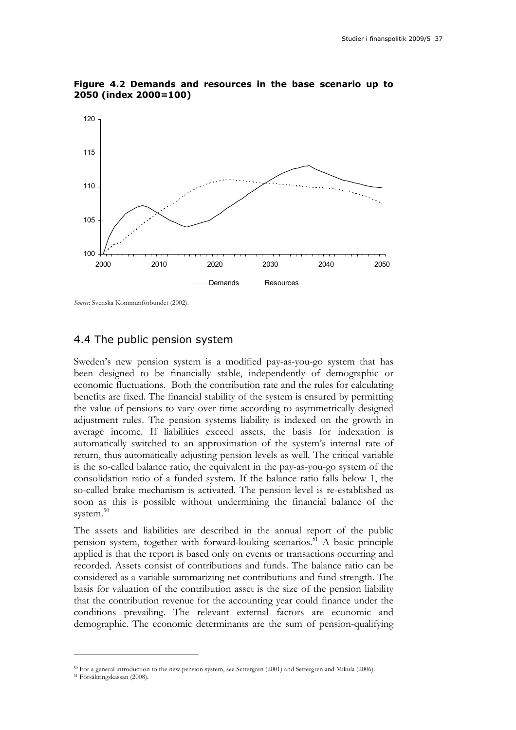

**Figure 4.2 Demands and resources in the base scenario up to 2050 (index 2000=100)** 

*Source*: Svenska Kommunförbundet (2002).

#### 4.4 The public pension system

Sweden's new pension system is a modified pay-as-you-go system that has been designed to be financially stable, independently of demographic or economic fluctuations. Both the contribution rate and the rules for calculating benefits are fixed. The financial stability of the system is ensured by permitting the value of pensions to vary over time according to asymmetrically designed adjustment rules. The pension systems liability is indexed on the growth in average income. If liabilities exceed assets, the basis for indexation is automatically switched to an approximation of the system's internal rate of return, thus automatically adjusting pension levels as well. The critical variable is the so-called balance ratio, the equivalent in the pay-as-you-go system of the consolidation ratio of a funded system. If the balance ratio falls below 1, the so-called brake mechanism is activated. The pension level is re-established as soon as this is possible without undermining the financial balance of the system.<sup>50</sup>

The assets and liabilities are described in the annual report of the public pension system, together with forward-looking scenarios.<sup>51</sup> A basic principle applied is that the report is based only on events or transactions occurring and recorded. Assets consist of contributions and funds. The balance ratio can be considered as a variable summarizing net contributions and fund strength. The basis for valuation of the contribution asset is the size of the pension liability that the contribution revenue for the accounting year could finance under the conditions prevailing. The relevant external factors are economic and demographic. The economic determinants are the sum of pension-qualifying

<sup>&</sup>lt;sup>50</sup> For a general introduction to the new pension system, see Settergren (2001) and Settergren and Mikula (2006).<br><sup>51</sup> Försäkringskassan (2008).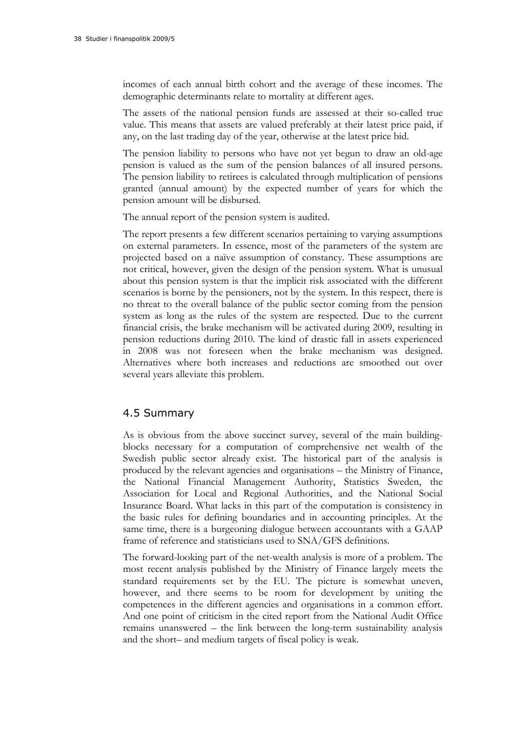incomes of each annual birth cohort and the average of these incomes. The demographic determinants relate to mortality at different ages.

The assets of the national pension funds are assessed at their so-called true value. This means that assets are valued preferably at their latest price paid, if any, on the last trading day of the year, otherwise at the latest price bid.

The pension liability to persons who have not yet begun to draw an old-age pension is valued as the sum of the pension balances of all insured persons. The pension liability to retirees is calculated through multiplication of pensions granted (annual amount) by the expected number of years for which the pension amount will be disbursed.

The annual report of the pension system is audited.

The report presents a few different scenarios pertaining to varying assumptions on external parameters. In essence, most of the parameters of the system are projected based on a naïve assumption of constancy. These assumptions are not critical, however, given the design of the pension system. What is unusual about this pension system is that the implicit risk associated with the different scenarios is borne by the pensioners, not by the system. In this respect, there is no threat to the overall balance of the public sector coming from the pension system as long as the rules of the system are respected. Due to the current financial crisis, the brake mechanism will be activated during 2009, resulting in pension reductions during 2010. The kind of drastic fall in assets experienced in 2008 was not foreseen when the brake mechanism was designed. Alternatives where both increases and reductions are smoothed out over several years alleviate this problem.

### 4.5 Summary

As is obvious from the above succinct survey, several of the main buildingblocks necessary for a computation of comprehensive net wealth of the Swedish public sector already exist. The historical part of the analysis is produced by the relevant agencies and organisations – the Ministry of Finance, the National Financial Management Authority, Statistics Sweden, the Association for Local and Regional Authorities, and the National Social Insurance Board. What lacks in this part of the computation is consistency in the basic rules for defining boundaries and in accounting principles. At the same time, there is a burgeoning dialogue between accountants with a GAAP frame of reference and statisticians used to SNA/GFS definitions.

The forward-looking part of the net-wealth analysis is more of a problem. The most recent analysis published by the Ministry of Finance largely meets the standard requirements set by the EU. The picture is somewhat uneven, however, and there seems to be room for development by uniting the competences in the different agencies and organisations in a common effort. And one point of criticism in the cited report from the National Audit Office remains unanswered – the link between the long-term sustainability analysis and the short– and medium targets of fiscal policy is weak.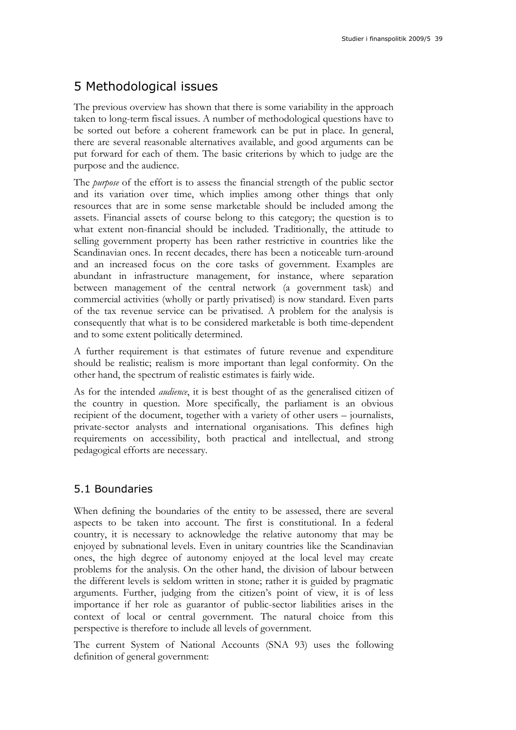## 5 Methodological issues

The previous overview has shown that there is some variability in the approach taken to long-term fiscal issues. A number of methodological questions have to be sorted out before a coherent framework can be put in place. In general, there are several reasonable alternatives available, and good arguments can be put forward for each of them. The basic criterions by which to judge are the purpose and the audience.

The *purpose* of the effort is to assess the financial strength of the public sector and its variation over time, which implies among other things that only resources that are in some sense marketable should be included among the assets. Financial assets of course belong to this category; the question is to what extent non-financial should be included. Traditionally, the attitude to selling government property has been rather restrictive in countries like the Scandinavian ones. In recent decades, there has been a noticeable turn-around and an increased focus on the core tasks of government. Examples are abundant in infrastructure management, for instance, where separation between management of the central network (a government task) and commercial activities (wholly or partly privatised) is now standard. Even parts of the tax revenue service can be privatised. A problem for the analysis is consequently that what is to be considered marketable is both time-dependent and to some extent politically determined.

A further requirement is that estimates of future revenue and expenditure should be realistic; realism is more important than legal conformity. On the other hand, the spectrum of realistic estimates is fairly wide.

As for the intended *audience*, it is best thought of as the generalised citizen of the country in question. More specifically, the parliament is an obvious recipient of the document, together with a variety of other users – journalists, private-sector analysts and international organisations. This defines high requirements on accessibility, both practical and intellectual, and strong pedagogical efforts are necessary.

### 5.1 Boundaries

When defining the boundaries of the entity to be assessed, there are several aspects to be taken into account. The first is constitutional. In a federal country, it is necessary to acknowledge the relative autonomy that may be enjoyed by subnational levels. Even in unitary countries like the Scandinavian ones, the high degree of autonomy enjoyed at the local level may create problems for the analysis. On the other hand, the division of labour between the different levels is seldom written in stone; rather it is guided by pragmatic arguments. Further, judging from the citizen's point of view, it is of less importance if her role as guarantor of public-sector liabilities arises in the context of local or central government. The natural choice from this perspective is therefore to include all levels of government.

The current System of National Accounts (SNA 93) uses the following definition of general government: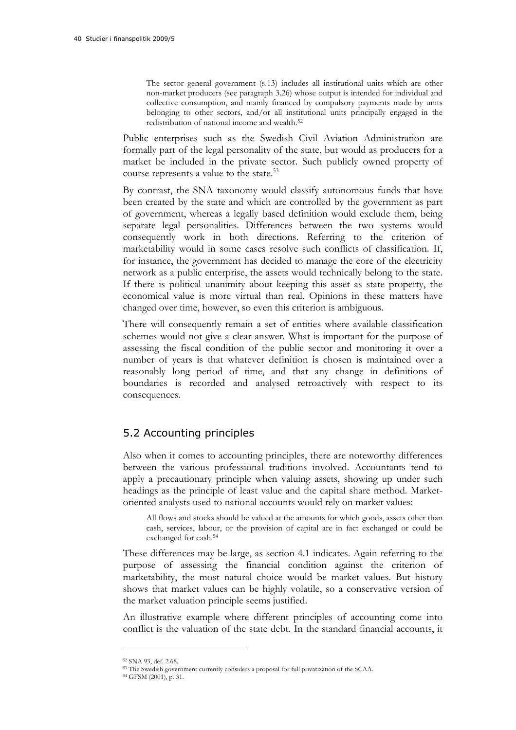The sector general government (s.13) includes all institutional units which are other non-market producers (see paragraph 3.26) whose output is intended for individual and collective consumption, and mainly financed by compulsory payments made by units belonging to other sectors, and/or all institutional units principally engaged in the redistribution of national income and wealth.<sup>52</sup>

Public enterprises such as the Swedish Civil Aviation Administration are formally part of the legal personality of the state, but would as producers for a market be included in the private sector. Such publicly owned property of course represents a value to the state.<sup>53</sup>

By contrast, the SNA taxonomy would classify autonomous funds that have been created by the state and which are controlled by the government as part of government, whereas a legally based definition would exclude them, being separate legal personalities. Differences between the two systems would consequently work in both directions. Referring to the criterion of marketability would in some cases resolve such conflicts of classification. If, for instance, the government has decided to manage the core of the electricity network as a public enterprise, the assets would technically belong to the state. If there is political unanimity about keeping this asset as state property, the economical value is more virtual than real. Opinions in these matters have changed over time, however, so even this criterion is ambiguous.

There will consequently remain a set of entities where available classification schemes would not give a clear answer. What is important for the purpose of assessing the fiscal condition of the public sector and monitoring it over a number of years is that whatever definition is chosen is maintained over a reasonably long period of time, and that any change in definitions of boundaries is recorded and analysed retroactively with respect to its consequences.

### 5.2 Accounting principles

Also when it comes to accounting principles, there are noteworthy differences between the various professional traditions involved. Accountants tend to apply a precautionary principle when valuing assets, showing up under such headings as the principle of least value and the capital share method. Marketoriented analysts used to national accounts would rely on market values:

All flows and stocks should be valued at the amounts for which goods, assets other than cash, services, labour, or the provision of capital are in fact exchanged or could be exchanged for cash.54

These differences may be large, as section 4.1 indicates. Again referring to the purpose of assessing the financial condition against the criterion of marketability, the most natural choice would be market values. But history shows that market values can be highly volatile, so a conservative version of the market valuation principle seems justified.

An illustrative example where different principles of accounting come into conflict is the valuation of the state debt. In the standard financial accounts, it

<sup>52</sup> SNA 93, def. 2.68.

 $^{53}$  The Swedish government currently considers a proposal for full privatization of the SCAA.  $^{54}$  GFSM (2001), p. 31.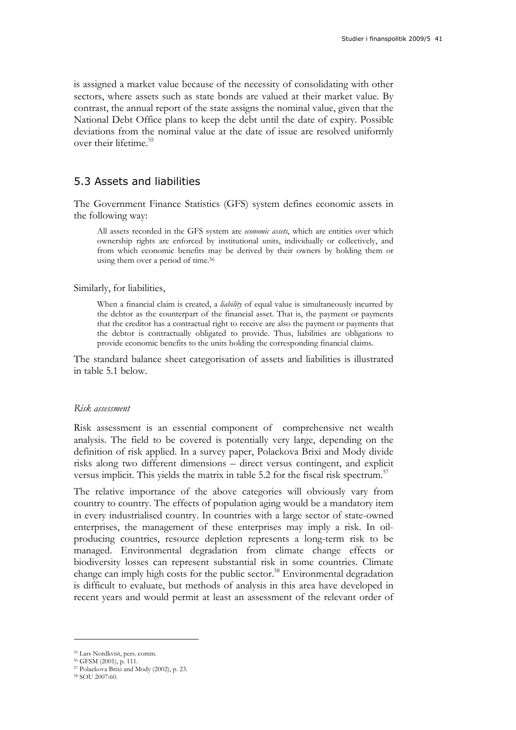is assigned a market value because of the necessity of consolidating with other sectors, where assets such as state bonds are valued at their market value. By contrast, the annual report of the state assigns the nominal value, given that the National Debt Office plans to keep the debt until the date of expiry. Possible deviations from the nominal value at the date of issue are resolved uniformly over their lifetime.<sup>55</sup>

### 5.3 Assets and liabilities

The Government Finance Statistics (GFS) system defines economic assets in the following way:

All assets recorded in the GFS system are *economic assets*, which are entities over which ownership rights are enforced by institutional units, individually or collectively, and from which economic benefits may be derived by their owners by holding them or using them over a period of time.<sup>56</sup>

Similarly, for liabilities,

When a financial claim is created, a *liability* of equal value is simultaneously incurred by the debtor as the counterpart of the financial asset. That is, the payment or payments that the creditor has a contractual right to receive are also the payment or payments that the debtor is contractually obligated to provide. Thus, liabilities are obligations to provide economic benefits to the units holding the corresponding financial claims.

The standard balance sheet categorisation of assets and liabilities is illustrated in table 5.1 below.

#### *Risk assessment*

Risk assessment is an essential component of comprehensive net wealth analysis. The field to be covered is potentially very large, depending on the definition of risk applied. In a survey paper, Polackova Brixi and Mody divide risks along two different dimensions – direct versus contingent, and explicit versus implicit. This yields the matrix in table 5.2 for the fiscal risk spectrum.<sup>57</sup>

The relative importance of the above categories will obviously vary from country to country. The effects of population aging would be a mandatory item in every industrialised country. In countries with a large sector of state-owned enterprises, the management of these enterprises may imply a risk. In oilproducing countries, resource depletion represents a long-term risk to be managed. Environmental degradation from climate change effects or biodiversity losses can represent substantial risk in some countries. Climate change can imply high costs for the public sector.<sup>58</sup> Environmental degradation is difficult to evaluate, but methods of analysis in this area have developed in recent years and would permit at least an assessment of the relevant order of

<sup>55</sup> Lars Nordkvist, pers. comm.

<sup>56</sup> GFSM (2001), p. 111.

<sup>57</sup> Polackova Brixi and Mody (2002), p. 23.

<sup>58</sup> SOU 2007:60.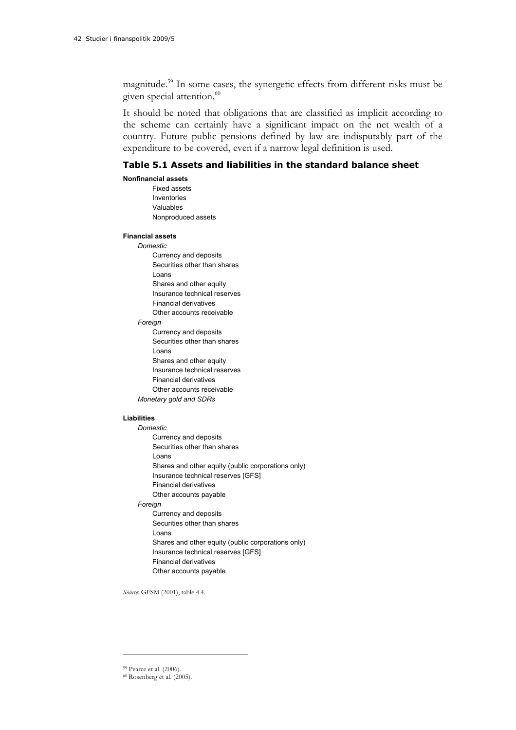magnitude.59 In some cases, the synergetic effects from different risks must be given special attention.<sup>60</sup>

It should be noted that obligations that are classified as implicit according to the scheme can certainly have a significant impact on the net wealth of a country. Future public pensions defined by law are indisputably part of the expenditure to be covered, even if a narrow legal definition is used.

#### **Table 5.1 Assets and liabilities in the standard balance sheet**

#### **Nonfinancial assets**

Fixed assets Inventories Valuables Nonproduced assets

#### **Financial assets**

- *Domestic* 
	- Currency and deposits Securities other than shares Loans Shares and other equity Insurance technical reserves
	- Financial derivatives
	- Other accounts receivable

#### *Foreign*

Currency and deposits Securities other than shares Loans Shares and other equity Insurance technical reserves Financial derivatives Other accounts receivable *Monetary gold and SDRs* 

#### **Liabilities**

- *Domestic*  Currency and deposits Securities other than shares Loans Shares and other equity (public corporations only) Insurance technical reserves [GFS] Financial derivatives Other accounts payable *Foreign*  Currency and deposits Securities other than shares Loans Shares and other equity (public corporations only) Insurance technical reserves [GFS] Financial derivatives
	- Other accounts payable

*Source*: GFSM (2001), table 4.4.

<sup>59</sup> Pearce et al. (2006).

<sup>60</sup> Rosenberg et al. (2005).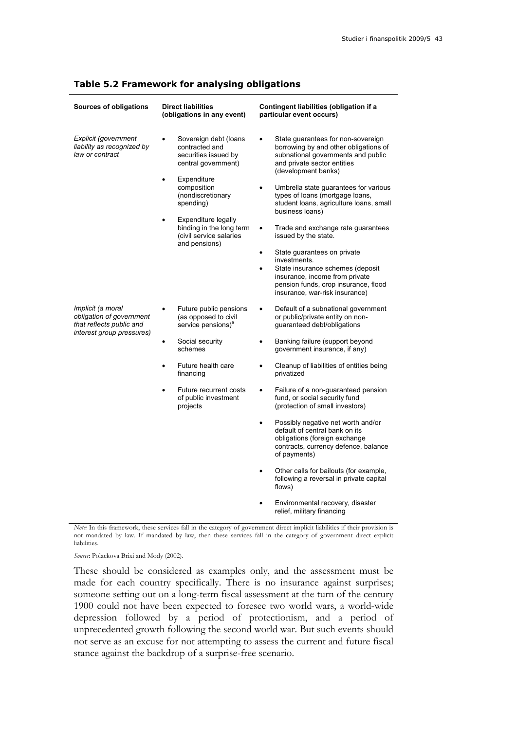| Sources of obligations                                                                                 | <b>Direct liabilities</b><br>(obligations in any event)                                                                                                                                                                                                                         | Contingent liabilities (obligation if a<br>particular event occurs)                                                                                                                                                                                                                                                                                                                                                                                                                                                                                                                                                                             |
|--------------------------------------------------------------------------------------------------------|---------------------------------------------------------------------------------------------------------------------------------------------------------------------------------------------------------------------------------------------------------------------------------|-------------------------------------------------------------------------------------------------------------------------------------------------------------------------------------------------------------------------------------------------------------------------------------------------------------------------------------------------------------------------------------------------------------------------------------------------------------------------------------------------------------------------------------------------------------------------------------------------------------------------------------------------|
| Explicit (government<br>liability as recognized by<br>law or contract                                  | Sovereign debt (loans<br>contracted and<br>securities issued by<br>central government)<br>Expenditure<br>$\bullet$<br>composition<br>(nondiscretionary<br>spending)<br>Expenditure legally<br>$\bullet$<br>binding in the long term<br>(civil service salaries<br>and pensions) | State guarantees for non-sovereign<br>$\bullet$<br>borrowing by and other obligations of<br>subnational governments and public<br>and private sector entities<br>(development banks)<br>Umbrella state guarantees for various<br>$\bullet$<br>types of loans (mortgage loans,<br>student loans, agriculture loans, small<br>business loans)<br>Trade and exchange rate guarantees<br>$\bullet$<br>issued by the state.<br>State guarantees on private<br>$\bullet$<br>investments.<br>State insurance schemes (deposit<br>$\bullet$<br>insurance, income from private<br>pension funds, crop insurance, flood<br>insurance, war-risk insurance) |
| Implicit (a moral<br>obligation of government<br>that reflects public and<br>interest group pressures) | Future public pensions<br>(as opposed to civil<br>service pensions) <sup>a</sup>                                                                                                                                                                                                | Default of a subnational government<br>$\bullet$<br>or public/private entity on non-<br>guaranteed debt/obligations                                                                                                                                                                                                                                                                                                                                                                                                                                                                                                                             |
|                                                                                                        | Social security<br>$\bullet$<br>schemes                                                                                                                                                                                                                                         | Banking failure (support beyond<br>$\bullet$<br>government insurance, if any)                                                                                                                                                                                                                                                                                                                                                                                                                                                                                                                                                                   |
|                                                                                                        | Future health care<br>$\bullet$<br>financing                                                                                                                                                                                                                                    | Cleanup of liabilities of entities being<br>$\bullet$<br>privatized                                                                                                                                                                                                                                                                                                                                                                                                                                                                                                                                                                             |
|                                                                                                        | Future recurrent costs<br>$\bullet$<br>of public investment<br>projects                                                                                                                                                                                                         | Failure of a non-guaranteed pension<br>$\bullet$<br>fund, or social security fund<br>(protection of small investors)                                                                                                                                                                                                                                                                                                                                                                                                                                                                                                                            |
|                                                                                                        |                                                                                                                                                                                                                                                                                 | Possibly negative net worth and/or<br>$\bullet$<br>default of central bank on its<br>obligations (foreign exchange<br>contracts, currency defence, balance<br>of payments)                                                                                                                                                                                                                                                                                                                                                                                                                                                                      |
|                                                                                                        |                                                                                                                                                                                                                                                                                 | Other calls for bailouts (for example,<br>$\bullet$<br>following a reversal in private capital<br>flows)                                                                                                                                                                                                                                                                                                                                                                                                                                                                                                                                        |
|                                                                                                        |                                                                                                                                                                                                                                                                                 | Environmental recovery, disaster<br>$\bullet$<br>relief, military financing                                                                                                                                                                                                                                                                                                                                                                                                                                                                                                                                                                     |

#### **Table 5.2 Framework for analysing obligations**

*Note:* In this framework, these services fall in the category of government direct implicit liabilities if their provision is not mandated by law. If mandated by law, then these services fall in the category of government direct explicit liabilities.

*Source*: Polackova Brixi and Mody (2002).

These should be considered as examples only, and the assessment must be made for each country specifically. There is no insurance against surprises; someone setting out on a long-term fiscal assessment at the turn of the century 1900 could not have been expected to foresee two world wars, a world-wide depression followed by a period of protectionism, and a period of unprecedented growth following the second world war. But such events should not serve as an excuse for not attempting to assess the current and future fiscal stance against the backdrop of a surprise-free scenario.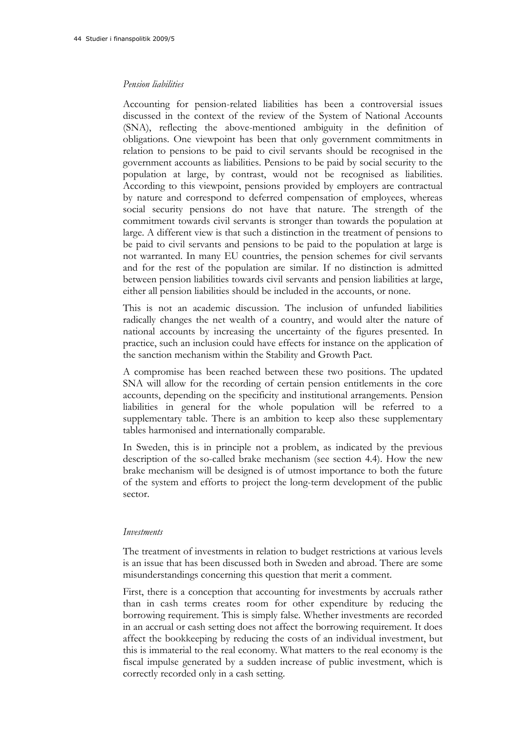#### *Pension liabilities*

Accounting for pension-related liabilities has been a controversial issues discussed in the context of the review of the System of National Accounts (SNA), reflecting the above-mentioned ambiguity in the definition of obligations. One viewpoint has been that only government commitments in relation to pensions to be paid to civil servants should be recognised in the government accounts as liabilities. Pensions to be paid by social security to the population at large, by contrast, would not be recognised as liabilities. According to this viewpoint, pensions provided by employers are contractual by nature and correspond to deferred compensation of employees, whereas social security pensions do not have that nature. The strength of the commitment towards civil servants is stronger than towards the population at large. A different view is that such a distinction in the treatment of pensions to be paid to civil servants and pensions to be paid to the population at large is not warranted. In many EU countries, the pension schemes for civil servants and for the rest of the population are similar. If no distinction is admitted between pension liabilities towards civil servants and pension liabilities at large, either all pension liabilities should be included in the accounts, or none.

This is not an academic discussion. The inclusion of unfunded liabilities radically changes the net wealth of a country, and would alter the nature of national accounts by increasing the uncertainty of the figures presented. In practice, such an inclusion could have effects for instance on the application of the sanction mechanism within the Stability and Growth Pact.

A compromise has been reached between these two positions. The updated SNA will allow for the recording of certain pension entitlements in the core accounts, depending on the specificity and institutional arrangements. Pension liabilities in general for the whole population will be referred to a supplementary table. There is an ambition to keep also these supplementary tables harmonised and internationally comparable.

In Sweden, this is in principle not a problem, as indicated by the previous description of the so-called brake mechanism (see section 4.4). How the new brake mechanism will be designed is of utmost importance to both the future of the system and efforts to project the long-term development of the public sector.

#### *Investments*

The treatment of investments in relation to budget restrictions at various levels is an issue that has been discussed both in Sweden and abroad. There are some misunderstandings concerning this question that merit a comment.

First, there is a conception that accounting for investments by accruals rather than in cash terms creates room for other expenditure by reducing the borrowing requirement. This is simply false. Whether investments are recorded in an accrual or cash setting does not affect the borrowing requirement. It does affect the bookkeeping by reducing the costs of an individual investment, but this is immaterial to the real economy. What matters to the real economy is the fiscal impulse generated by a sudden increase of public investment, which is correctly recorded only in a cash setting.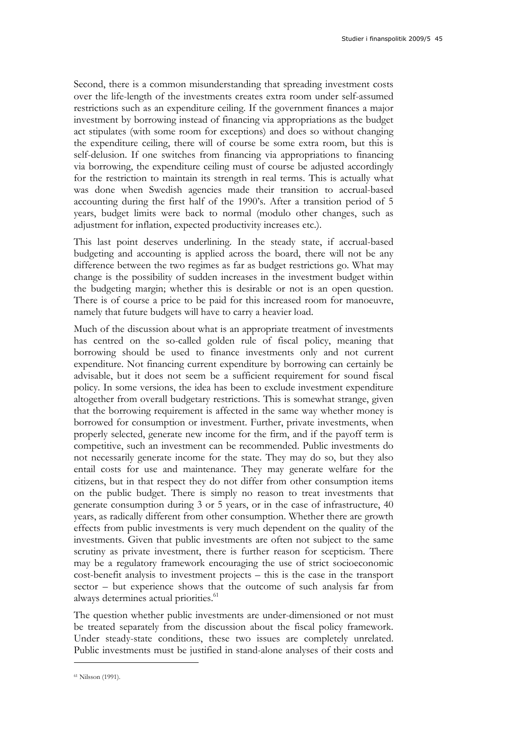Second, there is a common misunderstanding that spreading investment costs over the life-length of the investments creates extra room under self-assumed restrictions such as an expenditure ceiling. If the government finances a major investment by borrowing instead of financing via appropriations as the budget act stipulates (with some room for exceptions) and does so without changing the expenditure ceiling, there will of course be some extra room, but this is self-delusion. If one switches from financing via appropriations to financing via borrowing, the expenditure ceiling must of course be adjusted accordingly for the restriction to maintain its strength in real terms. This is actually what was done when Swedish agencies made their transition to accrual-based accounting during the first half of the 1990's. After a transition period of 5 years, budget limits were back to normal (modulo other changes, such as adjustment for inflation, expected productivity increases etc.).

This last point deserves underlining. In the steady state, if accrual-based budgeting and accounting is applied across the board, there will not be any difference between the two regimes as far as budget restrictions go. What may change is the possibility of sudden increases in the investment budget within the budgeting margin; whether this is desirable or not is an open question. There is of course a price to be paid for this increased room for manoeuvre, namely that future budgets will have to carry a heavier load.

Much of the discussion about what is an appropriate treatment of investments has centred on the so-called golden rule of fiscal policy, meaning that borrowing should be used to finance investments only and not current expenditure. Not financing current expenditure by borrowing can certainly be advisable, but it does not seem be a sufficient requirement for sound fiscal policy. In some versions, the idea has been to exclude investment expenditure altogether from overall budgetary restrictions. This is somewhat strange, given that the borrowing requirement is affected in the same way whether money is borrowed for consumption or investment. Further, private investments, when properly selected, generate new income for the firm, and if the payoff term is competitive, such an investment can be recommended. Public investments do not necessarily generate income for the state. They may do so, but they also entail costs for use and maintenance. They may generate welfare for the citizens, but in that respect they do not differ from other consumption items on the public budget. There is simply no reason to treat investments that generate consumption during 3 or 5 years, or in the case of infrastructure, 40 years, as radically different from other consumption. Whether there are growth effects from public investments is very much dependent on the quality of the investments. Given that public investments are often not subject to the same scrutiny as private investment, there is further reason for scepticism. There may be a regulatory framework encouraging the use of strict socioeconomic cost-benefit analysis to investment projects – this is the case in the transport sector – but experience shows that the outcome of such analysis far from always determines actual priorities.<sup>61</sup>

The question whether public investments are under-dimensioned or not must be treated separately from the discussion about the fiscal policy framework. Under steady-state conditions, these two issues are completely unrelated. Public investments must be justified in stand-alone analyses of their costs and

<sup>61</sup> Nilsson (1991).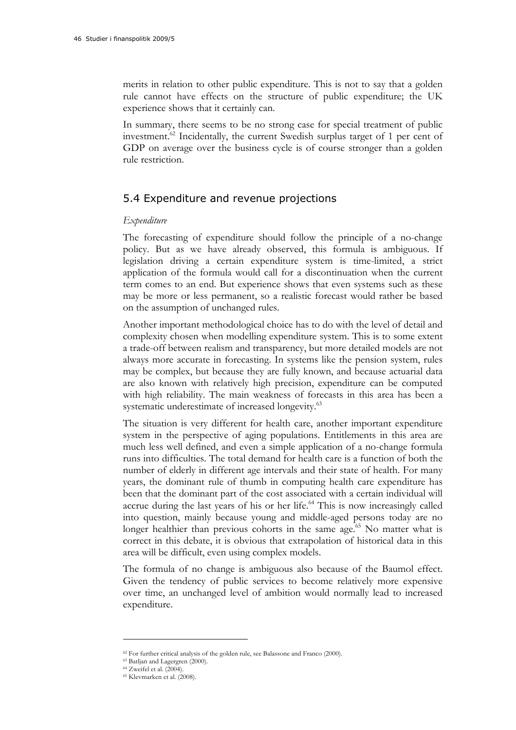merits in relation to other public expenditure. This is not to say that a golden rule cannot have effects on the structure of public expenditure; the UK experience shows that it certainly can.

In summary, there seems to be no strong case for special treatment of public investment.<sup>62</sup> Incidentally, the current Swedish surplus target of 1 per cent of GDP on average over the business cycle is of course stronger than a golden rule restriction.

### 5.4 Expenditure and revenue projections

#### *Expenditure*

The forecasting of expenditure should follow the principle of a no-change policy. But as we have already observed, this formula is ambiguous. If legislation driving a certain expenditure system is time-limited, a strict application of the formula would call for a discontinuation when the current term comes to an end. But experience shows that even systems such as these may be more or less permanent, so a realistic forecast would rather be based on the assumption of unchanged rules.

Another important methodological choice has to do with the level of detail and complexity chosen when modelling expenditure system. This is to some extent a trade-off between realism and transparency, but more detailed models are not always more accurate in forecasting. In systems like the pension system, rules may be complex, but because they are fully known, and because actuarial data are also known with relatively high precision, expenditure can be computed with high reliability. The main weakness of forecasts in this area has been a systematic underestimate of increased longevity.<sup>63</sup>

The situation is very different for health care, another important expenditure system in the perspective of aging populations. Entitlements in this area are much less well defined, and even a simple application of a no-change formula runs into difficulties. The total demand for health care is a function of both the number of elderly in different age intervals and their state of health. For many years, the dominant rule of thumb in computing health care expenditure has been that the dominant part of the cost associated with a certain individual will accrue during the last years of his or her life.<sup>64</sup> This is now increasingly called into question, mainly because young and middle-aged persons today are no longer healthier than previous cohorts in the same age.<sup>65</sup> No matter what is correct in this debate, it is obvious that extrapolation of historical data in this area will be difficult, even using complex models.

The formula of no change is ambiguous also because of the Baumol effect. Given the tendency of public services to become relatively more expensive over time, an unchanged level of ambition would normally lead to increased expenditure.

 $62$  For further critical analysis of the golden rule, see Balassone and Franco (2000).  $63$  Batljan and Lagergren (2000).

<sup>64</sup> Zweifel et al. (2004).

<sup>65</sup> Klevmarken et al. (2008).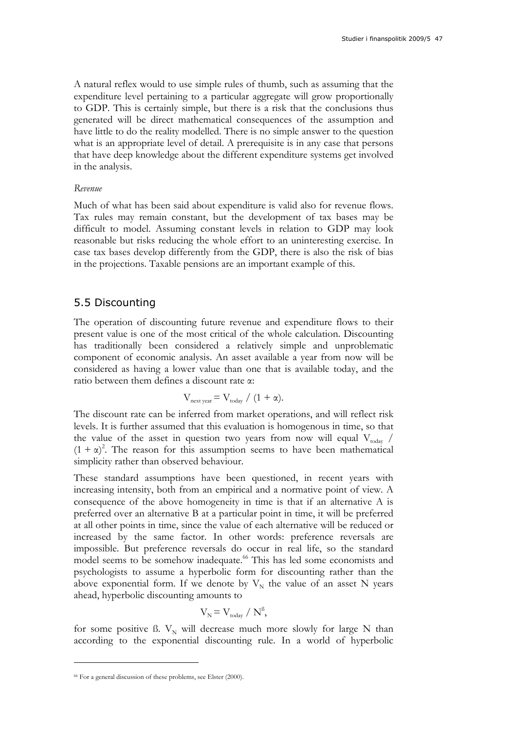A natural reflex would to use simple rules of thumb, such as assuming that the expenditure level pertaining to a particular aggregate will grow proportionally to GDP. This is certainly simple, but there is a risk that the conclusions thus generated will be direct mathematical consequences of the assumption and have little to do the reality modelled. There is no simple answer to the question what is an appropriate level of detail. A prerequisite is in any case that persons that have deep knowledge about the different expenditure systems get involved in the analysis.

#### *Revenue*

Much of what has been said about expenditure is valid also for revenue flows. Tax rules may remain constant, but the development of tax bases may be difficult to model. Assuming constant levels in relation to GDP may look reasonable but risks reducing the whole effort to an uninteresting exercise. In case tax bases develop differently from the GDP, there is also the risk of bias in the projections. Taxable pensions are an important example of this.

#### 5.5 Discounting

The operation of discounting future revenue and expenditure flows to their present value is one of the most critical of the whole calculation. Discounting has traditionally been considered a relatively simple and unproblematic component of economic analysis. An asset available a year from now will be considered as having a lower value than one that is available today, and the ratio between them defines a discount rate α:

$$
V_{\text{next year}} = V_{\text{today}} / (1 + \alpha).
$$

The discount rate can be inferred from market operations, and will reflect risk levels. It is further assumed that this evaluation is homogenous in time, so that the value of the asset in question two years from now will equal  $V_{\text{today}}$  /  $(1 + \alpha)^2$ . The reason for this assumption seems to have been mathematical simplicity rather than observed behaviour.

These standard assumptions have been questioned, in recent years with increasing intensity, both from an empirical and a normative point of view. A consequence of the above homogeneity in time is that if an alternative A is preferred over an alternative B at a particular point in time, it will be preferred at all other points in time, since the value of each alternative will be reduced or increased by the same factor. In other words: preference reversals are impossible. But preference reversals do occur in real life, so the standard model seems to be somehow inadequate.<sup>66</sup> This has led some economists and psychologists to assume a hyperbolic form for discounting rather than the above exponential form. If we denote by  $V_N$  the value of an asset N years ahead, hyperbolic discounting amounts to

$$
V_{N} = V_{\text{today}} / N^{\beta},
$$

for some positive ß.  $V_N$  will decrease much more slowly for large N than according to the exponential discounting rule. In a world of hyperbolic

<sup>&</sup>lt;sup>66</sup> For a general discussion of these problems, see Elster (2000).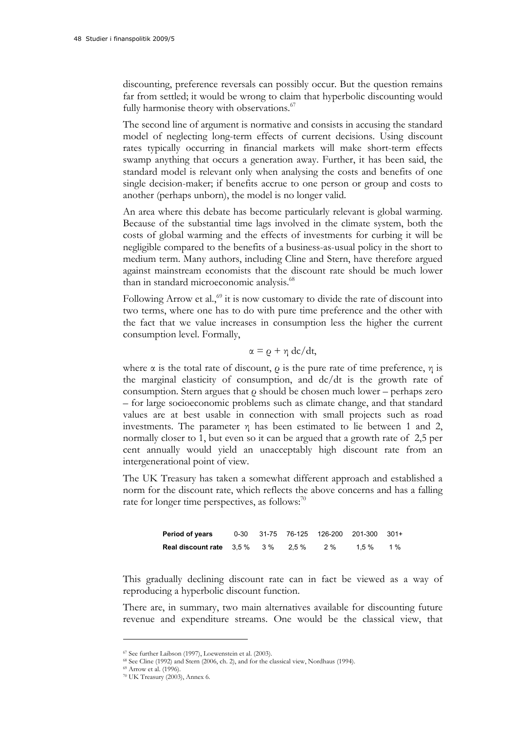discounting, preference reversals can possibly occur. But the question remains far from settled; it would be wrong to claim that hyperbolic discounting would fully harmonise theory with observations.<sup>67</sup>

The second line of argument is normative and consists in accusing the standard model of neglecting long-term effects of current decisions. Using discount rates typically occurring in financial markets will make short-term effects swamp anything that occurs a generation away. Further, it has been said, the standard model is relevant only when analysing the costs and benefits of one single decision-maker; if benefits accrue to one person or group and costs to another (perhaps unborn), the model is no longer valid.

An area where this debate has become particularly relevant is global warming. Because of the substantial time lags involved in the climate system, both the costs of global warming and the effects of investments for curbing it will be negligible compared to the benefits of a business-as-usual policy in the short to medium term. Many authors, including Cline and Stern, have therefore argued against mainstream economists that the discount rate should be much lower than in standard microeconomic analysis.<sup>68</sup>

Following Arrow et al., $69$  it is now customary to divide the rate of discount into two terms, where one has to do with pure time preference and the other with the fact that we value increases in consumption less the higher the current consumption level. Formally,

$$
\alpha = \varrho + \eta \, \mathrm{d}c/\mathrm{d}t,
$$

where  $\alpha$  is the total rate of discount,  $\rho$  is the pure rate of time preference,  $\eta$  is the marginal elasticity of consumption, and dc/dt is the growth rate of consumption. Stern argues that ρ should be chosen much lower – perhaps zero – for large socioeconomic problems such as climate change, and that standard values are at best usable in connection with small projects such as road investments. The parameter  $\eta$  has been estimated to lie between 1 and 2, normally closer to 1, but even so it can be argued that a growth rate of 2,5 per cent annually would yield an unacceptably high discount rate from an intergenerational point of view.

The UK Treasury has taken a somewhat different approach and established a norm for the discount rate, which reflects the above concerns and has a falling rate for longer time perspectives, as follows: $70$ 

> **Period of years** 0-30 31-75 76-125 126-200 201-300 301+ **Real discount rate** 3,5 % 3 % 2,5 % 2 % 1,5 % 1 %

This gradually declining discount rate can in fact be viewed as a way of reproducing a hyperbolic discount function.

There are, in summary, two main alternatives available for discounting future revenue and expenditure streams. One would be the classical view, that

<sup>67</sup> See further Laibson (1997), Loewenstein et al. (2003).

 $^{68}$  See Cline (1992) and Stern (2006, ch. 2), and for the classical view, Nordhaus (1994).  $^{69}$  Arrow et al. (1996).

<sup>70</sup> UK Treasury (2003), Annex 6.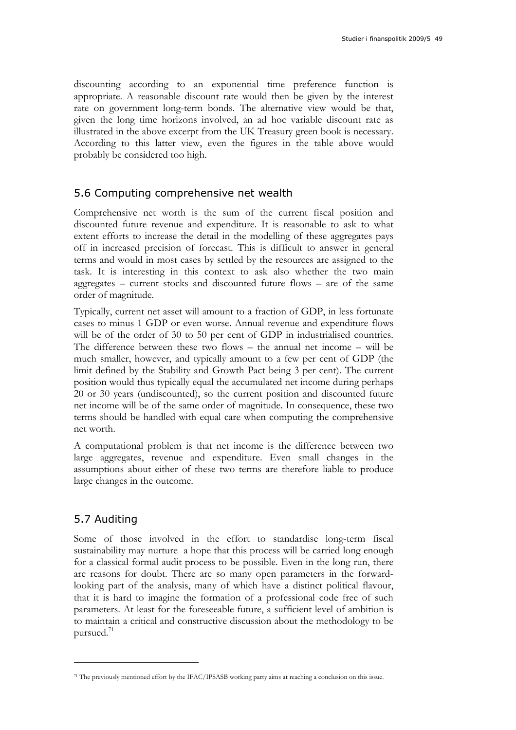discounting according to an exponential time preference function is appropriate. A reasonable discount rate would then be given by the interest rate on government long-term bonds. The alternative view would be that, given the long time horizons involved, an ad hoc variable discount rate as illustrated in the above excerpt from the UK Treasury green book is necessary. According to this latter view, even the figures in the table above would probably be considered too high.

### 5.6 Computing comprehensive net wealth

Comprehensive net worth is the sum of the current fiscal position and discounted future revenue and expenditure. It is reasonable to ask to what extent efforts to increase the detail in the modelling of these aggregates pays off in increased precision of forecast. This is difficult to answer in general terms and would in most cases by settled by the resources are assigned to the task. It is interesting in this context to ask also whether the two main aggregates – current stocks and discounted future flows – are of the same order of magnitude.

Typically, current net asset will amount to a fraction of GDP, in less fortunate cases to minus 1 GDP or even worse. Annual revenue and expenditure flows will be of the order of 30 to 50 per cent of GDP in industrialised countries. The difference between these two flows – the annual net income – will be much smaller, however, and typically amount to a few per cent of GDP (the limit defined by the Stability and Growth Pact being 3 per cent). The current position would thus typically equal the accumulated net income during perhaps 20 or 30 years (undiscounted), so the current position and discounted future net income will be of the same order of magnitude. In consequence, these two terms should be handled with equal care when computing the comprehensive net worth.

A computational problem is that net income is the difference between two large aggregates, revenue and expenditure. Even small changes in the assumptions about either of these two terms are therefore liable to produce large changes in the outcome.

### 5.7 Auditing

 $\overline{a}$ 

Some of those involved in the effort to standardise long-term fiscal sustainability may nurture a hope that this process will be carried long enough for a classical formal audit process to be possible. Even in the long run, there are reasons for doubt. There are so many open parameters in the forwardlooking part of the analysis, many of which have a distinct political flavour, that it is hard to imagine the formation of a professional code free of such parameters. At least for the foreseeable future, a sufficient level of ambition is to maintain a critical and constructive discussion about the methodology to be pursued. $71$ 

<sup>71</sup> The previously mentioned effort by the IFAC/IPSASB working party aims at reaching a conclusion on this issue.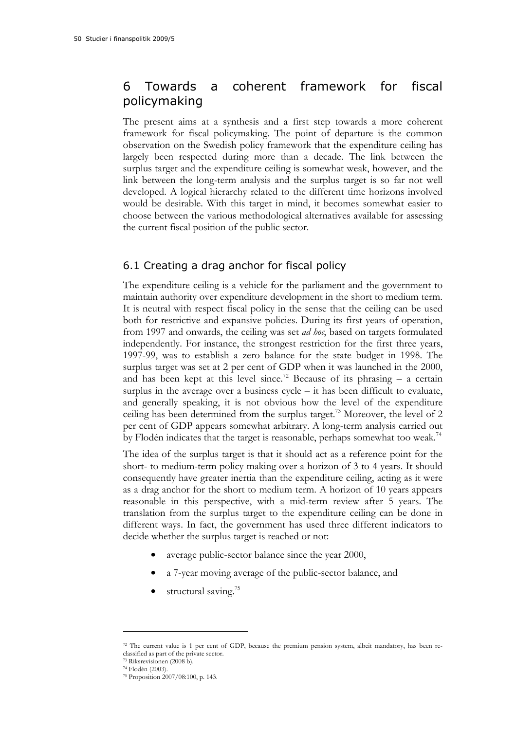## 6 Towards a coherent framework for fiscal policymaking

The present aims at a synthesis and a first step towards a more coherent framework for fiscal policymaking. The point of departure is the common observation on the Swedish policy framework that the expenditure ceiling has largely been respected during more than a decade. The link between the surplus target and the expenditure ceiling is somewhat weak, however, and the link between the long-term analysis and the surplus target is so far not well developed. A logical hierarchy related to the different time horizons involved would be desirable. With this target in mind, it becomes somewhat easier to choose between the various methodological alternatives available for assessing the current fiscal position of the public sector.

### 6.1 Creating a drag anchor for fiscal policy

The expenditure ceiling is a vehicle for the parliament and the government to maintain authority over expenditure development in the short to medium term. It is neutral with respect fiscal policy in the sense that the ceiling can be used both for restrictive and expansive policies. During its first years of operation, from 1997 and onwards, the ceiling was set *ad hoc*, based on targets formulated independently. For instance, the strongest restriction for the first three years, 1997-99, was to establish a zero balance for the state budget in 1998. The surplus target was set at 2 per cent of GDP when it was launched in the 2000, and has been kept at this level since.<sup>72</sup> Because of its phrasing  $-$  a certain surplus in the average over a business cycle – it has been difficult to evaluate, and generally speaking, it is not obvious how the level of the expenditure ceiling has been determined from the surplus target.<sup>73</sup> Moreover, the level of 2 per cent of GDP appears somewhat arbitrary. A long-term analysis carried out by Flodén indicates that the target is reasonable, perhaps somewhat too weak.<sup>74</sup>

The idea of the surplus target is that it should act as a reference point for the short- to medium-term policy making over a horizon of 3 to 4 years. It should consequently have greater inertia than the expenditure ceiling, acting as it were as a drag anchor for the short to medium term. A horizon of 10 years appears reasonable in this perspective, with a mid-term review after 5 years. The translation from the surplus target to the expenditure ceiling can be done in different ways. In fact, the government has used three different indicators to decide whether the surplus target is reached or not:

- average public-sector balance since the year 2000,
- a 7-year moving average of the public-sector balance, and
- structural saving.<sup>75</sup>

<sup>72</sup> The current value is 1 per cent of GDP, because the premium pension system, albeit mandatory, has been reclassified as part of the private sector.

<sup>73</sup> Riksrevisionen (2008 b).

<sup>74</sup> Flodén (2003).

<sup>75</sup> Proposition 2007/08:100, p. 143.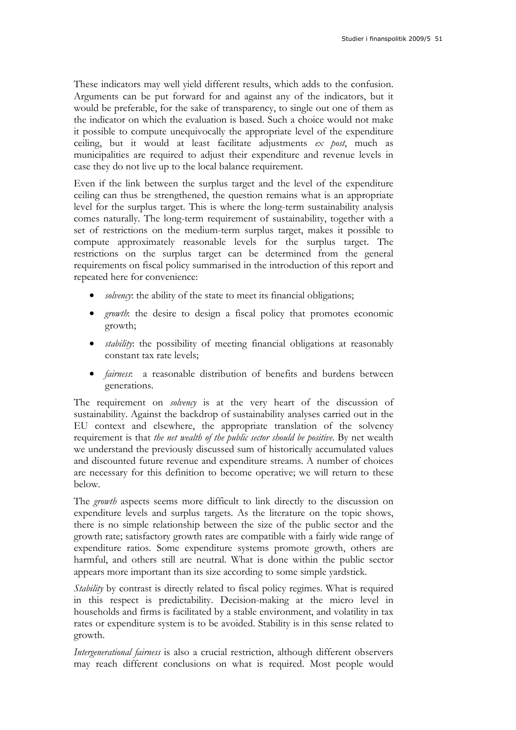These indicators may well yield different results, which adds to the confusion. Arguments can be put forward for and against any of the indicators, but it would be preferable, for the sake of transparency, to single out one of them as the indicator on which the evaluation is based. Such a choice would not make it possible to compute unequivocally the appropriate level of the expenditure ceiling, but it would at least facilitate adjustments *ex post*, much as municipalities are required to adjust their expenditure and revenue levels in case they do not live up to the local balance requirement.

Even if the link between the surplus target and the level of the expenditure ceiling can thus be strengthened, the question remains what is an appropriate level for the surplus target. This is where the long-term sustainability analysis comes naturally. The long-term requirement of sustainability, together with a set of restrictions on the medium-term surplus target, makes it possible to compute approximately reasonable levels for the surplus target. The restrictions on the surplus target can be determined from the general requirements on fiscal policy summarised in the introduction of this report and repeated here for convenience:

- *solvency*: the ability of the state to meet its financial obligations;
- *growth*: the desire to design a fiscal policy that promotes economic growth;
- *stability*: the possibility of meeting financial obligations at reasonably constant tax rate levels;
- *fairness*: a reasonable distribution of benefits and burdens between generations.

The requirement on *solvency* is at the very heart of the discussion of sustainability. Against the backdrop of sustainability analyses carried out in the EU context and elsewhere, the appropriate translation of the solvency requirement is that *the net wealth of the public sector should be positive*. By net wealth we understand the previously discussed sum of historically accumulated values and discounted future revenue and expenditure streams. A number of choices are necessary for this definition to become operative; we will return to these below.

The *growth* aspects seems more difficult to link directly to the discussion on expenditure levels and surplus targets. As the literature on the topic shows, there is no simple relationship between the size of the public sector and the growth rate; satisfactory growth rates are compatible with a fairly wide range of expenditure ratios. Some expenditure systems promote growth, others are harmful, and others still are neutral. What is done within the public sector appears more important than its size according to some simple yardstick.

*Stability* by contrast is directly related to fiscal policy regimes. What is required in this respect is predictability. Decision-making at the micro level in households and firms is facilitated by a stable environment, and volatility in tax rates or expenditure system is to be avoided. Stability is in this sense related to growth.

*Intergenerational fairness* is also a crucial restriction, although different observers may reach different conclusions on what is required. Most people would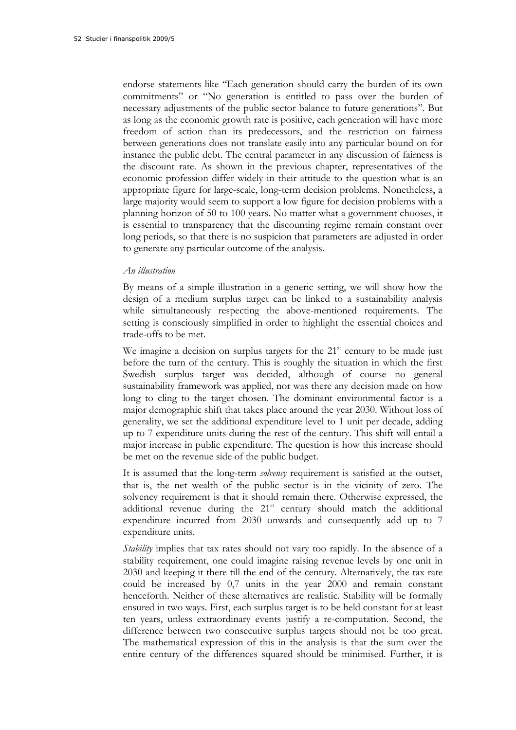endorse statements like "Each generation should carry the burden of its own commitments" or "No generation is entitled to pass over the burden of necessary adjustments of the public sector balance to future generations". But as long as the economic growth rate is positive, each generation will have more freedom of action than its predecessors, and the restriction on fairness between generations does not translate easily into any particular bound on for instance the public debt. The central parameter in any discussion of fairness is the discount rate. As shown in the previous chapter, representatives of the economic profession differ widely in their attitude to the question what is an appropriate figure for large-scale, long-term decision problems. Nonetheless, a large majority would seem to support a low figure for decision problems with a planning horizon of 50 to 100 years. No matter what a government chooses, it is essential to transparency that the discounting regime remain constant over long periods, so that there is no suspicion that parameters are adjusted in order to generate any particular outcome of the analysis.

#### *An illustration*

By means of a simple illustration in a generic setting, we will show how the design of a medium surplus target can be linked to a sustainability analysis while simultaneously respecting the above-mentioned requirements. The setting is consciously simplified in order to highlight the essential choices and trade-offs to be met.

We imagine a decision on surplus targets for the  $21<sup>st</sup>$  century to be made just before the turn of the century. This is roughly the situation in which the first Swedish surplus target was decided, although of course no general sustainability framework was applied, nor was there any decision made on how long to cling to the target chosen. The dominant environmental factor is a major demographic shift that takes place around the year 2030. Without loss of generality, we set the additional expenditure level to 1 unit per decade, adding up to 7 expenditure units during the rest of the century. This shift will entail a major increase in public expenditure. The question is how this increase should be met on the revenue side of the public budget.

It is assumed that the long-term *solvency* requirement is satisfied at the outset, that is, the net wealth of the public sector is in the vicinity of zero. The solvency requirement is that it should remain there. Otherwise expressed, the additional revenue during the 21<sup>st</sup> century should match the additional expenditure incurred from 2030 onwards and consequently add up to 7 expenditure units.

*Stability* implies that tax rates should not vary too rapidly. In the absence of a stability requirement, one could imagine raising revenue levels by one unit in 2030 and keeping it there till the end of the century. Alternatively, the tax rate could be increased by 0,7 units in the year 2000 and remain constant henceforth. Neither of these alternatives are realistic. Stability will be formally ensured in two ways. First, each surplus target is to be held constant for at least ten years, unless extraordinary events justify a re-computation. Second, the difference between two consecutive surplus targets should not be too great. The mathematical expression of this in the analysis is that the sum over the entire century of the differences squared should be minimised. Further, it is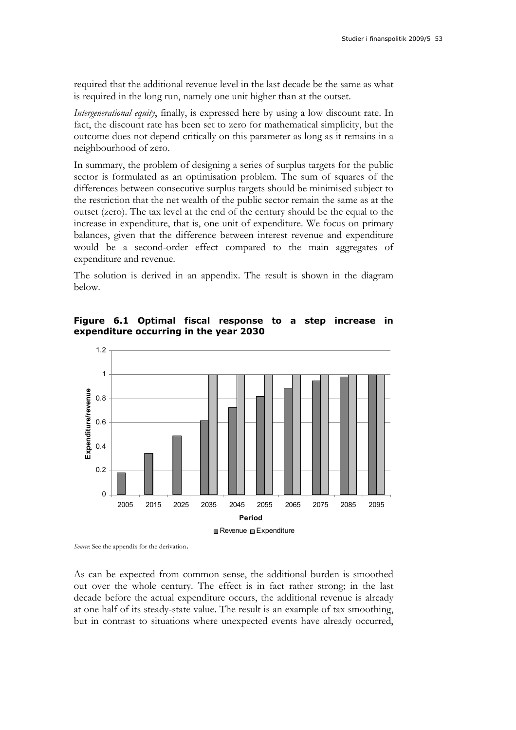required that the additional revenue level in the last decade be the same as what is required in the long run, namely one unit higher than at the outset.

*Intergenerational equity*, finally, is expressed here by using a low discount rate. In fact, the discount rate has been set to zero for mathematical simplicity, but the outcome does not depend critically on this parameter as long as it remains in a neighbourhood of zero.

In summary, the problem of designing a series of surplus targets for the public sector is formulated as an optimisation problem. The sum of squares of the differences between consecutive surplus targets should be minimised subject to the restriction that the net wealth of the public sector remain the same as at the outset (zero). The tax level at the end of the century should be the equal to the increase in expenditure, that is, one unit of expenditure. We focus on primary balances, given that the difference between interest revenue and expenditure would be a second-order effect compared to the main aggregates of expenditure and revenue.

The solution is derived in an appendix. The result is shown in the diagram below.

**Figure 6.1 Optimal fiscal response to a step increase in expenditure occurring in the year 2030** 



*Source*: See the appendix for the derivation.

As can be expected from common sense, the additional burden is smoothed out over the whole century. The effect is in fact rather strong; in the last decade before the actual expenditure occurs, the additional revenue is already at one half of its steady-state value. The result is an example of tax smoothing, but in contrast to situations where unexpected events have already occurred,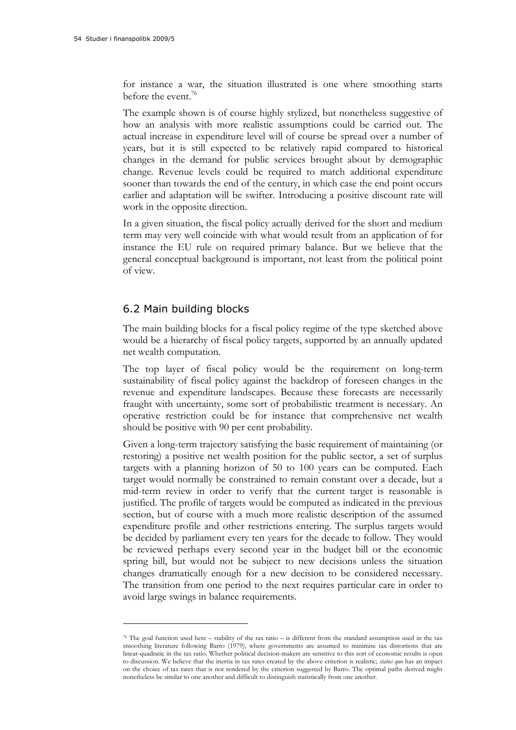$\overline{a}$ 

for instance a war, the situation illustrated is one where smoothing starts before the event.<sup>76</sup>

The example shown is of course highly stylized, but nonetheless suggestive of how an analysis with more realistic assumptions could be carried out. The actual increase in expenditure level will of course be spread over a number of years, but it is still expected to be relatively rapid compared to historical changes in the demand for public services brought about by demographic change. Revenue levels could be required to match additional expenditure sooner than towards the end of the century, in which case the end point occurs earlier and adaptation will be swifter. Introducing a positive discount rate will work in the opposite direction.

In a given situation, the fiscal policy actually derived for the short and medium term may very well coincide with what would result from an application of for instance the EU rule on required primary balance. But we believe that the general conceptual background is important, not least from the political point of view.

### 6.2 Main building blocks

The main building blocks for a fiscal policy regime of the type sketched above would be a hierarchy of fiscal policy targets, supported by an annually updated net wealth computation.

The top layer of fiscal policy would be the requirement on long-term sustainability of fiscal policy against the backdrop of foreseen changes in the revenue and expenditure landscapes. Because these forecasts are necessarily fraught with uncertainty, some sort of probabilistic treatment is necessary. An operative restriction could be for instance that comprehensive net wealth should be positive with 90 per cent probability.

Given a long-term trajectory satisfying the basic requirement of maintaining (or restoring) a positive net wealth position for the public sector, a set of surplus targets with a planning horizon of 50 to 100 years can be computed. Each target would normally be constrained to remain constant over a decade, but a mid-term review in order to verify that the current target is reasonable is justified. The profile of targets would be computed as indicated in the previous section, but of course with a much more realistic description of the assumed expenditure profile and other restrictions entering. The surplus targets would be decided by parliament every ten years for the decade to follow. They would be reviewed perhaps every second year in the budget bill or the economic spring bill, but would not be subject to new decisions unless the situation changes dramatically enough for a new decision to be considered necessary. The transition from one period to the next requires particular care in order to avoid large swings in balance requirements.

<sup>76</sup> The goal function used here – stability of the tax ratio – is different from the standard assumption used in the tax smoothing literature following Barro (1979), where governments are assumed to minimise tax distortions that are linear-quadratic in the tax ratio. Whether political decision-makers are sensitive to this sort of economic results is open to discussion. We believe that the inertia in tax rates created by the above criterion is realistic; *status quo* has an impact on the choice of tax rates that is not rendered by the criterion suggested by Barro. The optimal paths derived might nonetheless be similar to one another and difficult to distinguish statistically from one another.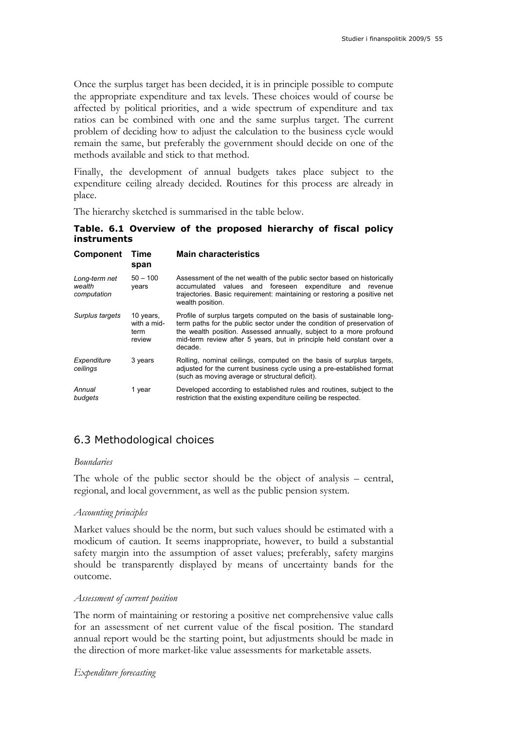Once the surplus target has been decided, it is in principle possible to compute the appropriate expenditure and tax levels. These choices would of course be affected by political priorities, and a wide spectrum of expenditure and tax ratios can be combined with one and the same surplus target. The current problem of deciding how to adjust the calculation to the business cycle would remain the same, but preferably the government should decide on one of the methods available and stick to that method.

Finally, the development of annual budgets takes place subject to the expenditure ceiling already decided. Routines for this process are already in place.

The hierarchy sketched is summarised in the table below.

**Table. 6.1 Overview of the proposed hierarchy of fiscal policy instruments** 

| Component                              | Time<br>span                               | <b>Main characteristics</b>                                                                                                                                                                                                                                                                               |
|----------------------------------------|--------------------------------------------|-----------------------------------------------------------------------------------------------------------------------------------------------------------------------------------------------------------------------------------------------------------------------------------------------------------|
| Long-term net<br>wealth<br>computation | $50 - 100$<br>years                        | Assessment of the net wealth of the public sector based on historically<br>accumulated values and foreseen expenditure and<br>revenue<br>trajectories. Basic requirement: maintaining or restoring a positive net<br>wealth position.                                                                     |
| Surplus targets                        | 10 years,<br>with a mid-<br>term<br>review | Profile of surplus targets computed on the basis of sustainable long-<br>term paths for the public sector under the condition of preservation of<br>the wealth position. Assessed annually, subject to a more profound<br>mid-term review after 5 years, but in principle held constant over a<br>decade. |
| Expenditure<br>ceilings                | 3 years                                    | Rolling, nominal ceilings, computed on the basis of surplus targets,<br>adjusted for the current business cycle using a pre-established format<br>(such as moving average or structural deficit).                                                                                                         |
| Annual<br>budgets                      | 1 year                                     | Developed according to established rules and routines, subject to the<br>restriction that the existing expenditure ceiling be respected.                                                                                                                                                                  |

### 6.3 Methodological choices

#### *Boundaries*

The whole of the public sector should be the object of analysis – central, regional, and local government, as well as the public pension system.

#### *Accounting principles*

Market values should be the norm, but such values should be estimated with a modicum of caution. It seems inappropriate, however, to build a substantial safety margin into the assumption of asset values; preferably, safety margins should be transparently displayed by means of uncertainty bands for the outcome.

#### *Assessment of current position*

The norm of maintaining or restoring a positive net comprehensive value calls for an assessment of net current value of the fiscal position. The standard annual report would be the starting point, but adjustments should be made in the direction of more market-like value assessments for marketable assets.

#### *Expenditure forecasting*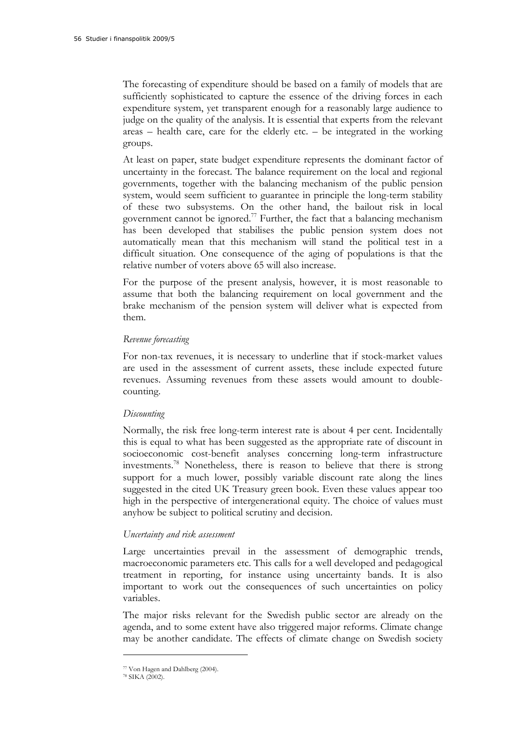The forecasting of expenditure should be based on a family of models that are sufficiently sophisticated to capture the essence of the driving forces in each expenditure system, yet transparent enough for a reasonably large audience to judge on the quality of the analysis. It is essential that experts from the relevant areas – health care, care for the elderly etc. – be integrated in the working groups.

At least on paper, state budget expenditure represents the dominant factor of uncertainty in the forecast. The balance requirement on the local and regional governments, together with the balancing mechanism of the public pension system, would seem sufficient to guarantee in principle the long-term stability of these two subsystems. On the other hand, the bailout risk in local government cannot be ignored.<sup>77</sup> Further, the fact that a balancing mechanism has been developed that stabilises the public pension system does not automatically mean that this mechanism will stand the political test in a difficult situation. One consequence of the aging of populations is that the relative number of voters above 65 will also increase.

For the purpose of the present analysis, however, it is most reasonable to assume that both the balancing requirement on local government and the brake mechanism of the pension system will deliver what is expected from them.

#### *Revenue forecasting*

For non-tax revenues, it is necessary to underline that if stock-market values are used in the assessment of current assets, these include expected future revenues. Assuming revenues from these assets would amount to doublecounting.

#### *Discounting*

Normally, the risk free long-term interest rate is about 4 per cent. Incidentally this is equal to what has been suggested as the appropriate rate of discount in socioeconomic cost-benefit analyses concerning long-term infrastructure investments.78 Nonetheless, there is reason to believe that there is strong support for a much lower, possibly variable discount rate along the lines suggested in the cited UK Treasury green book. Even these values appear too high in the perspective of intergenerational equity. The choice of values must anyhow be subject to political scrutiny and decision.

#### *Uncertainty and risk assessment*

Large uncertainties prevail in the assessment of demographic trends, macroeconomic parameters etc. This calls for a well developed and pedagogical treatment in reporting, for instance using uncertainty bands. It is also important to work out the consequences of such uncertainties on policy variables.

The major risks relevant for the Swedish public sector are already on the agenda, and to some extent have also triggered major reforms. Climate change may be another candidate. The effects of climate change on Swedish society

<sup>77</sup> Von Hagen and Dahlberg (2004).

<sup>78</sup> SIKA (2002).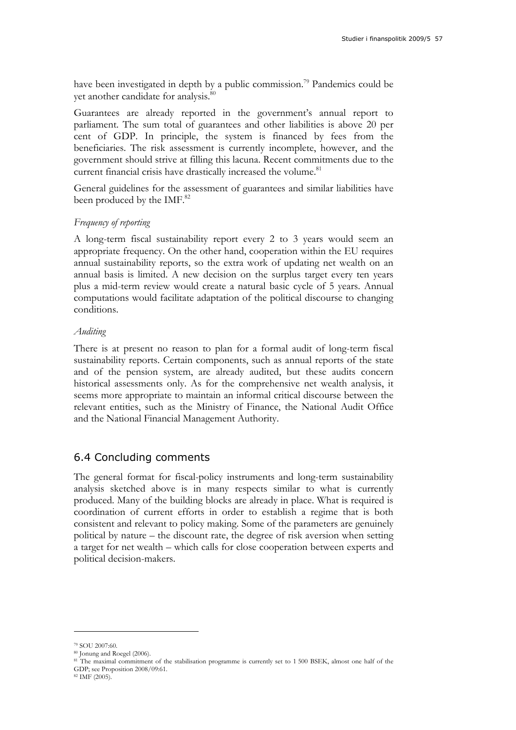have been investigated in depth by a public commission.<sup>79</sup> Pandemics could be yet another candidate for analysis.<sup>80</sup>

Guarantees are already reported in the government's annual report to parliament. The sum total of guarantees and other liabilities is above 20 per cent of GDP. In principle, the system is financed by fees from the beneficiaries. The risk assessment is currently incomplete, however, and the government should strive at filling this lacuna. Recent commitments due to the current financial crisis have drastically increased the volume.<sup>81</sup>

General guidelines for the assessment of guarantees and similar liabilities have been produced by the IMF.<sup>82</sup>

#### *Frequency of reporting*

A long-term fiscal sustainability report every 2 to 3 years would seem an appropriate frequency. On the other hand, cooperation within the EU requires annual sustainability reports, so the extra work of updating net wealth on an annual basis is limited. A new decision on the surplus target every ten years plus a mid-term review would create a natural basic cycle of 5 years. Annual computations would facilitate adaptation of the political discourse to changing conditions.

#### *Auditing*

There is at present no reason to plan for a formal audit of long-term fiscal sustainability reports. Certain components, such as annual reports of the state and of the pension system, are already audited, but these audits concern historical assessments only. As for the comprehensive net wealth analysis, it seems more appropriate to maintain an informal critical discourse between the relevant entities, such as the Ministry of Finance, the National Audit Office and the National Financial Management Authority.

### 6.4 Concluding comments

The general format for fiscal-policy instruments and long-term sustainability analysis sketched above is in many respects similar to what is currently produced. Many of the building blocks are already in place. What is required is coordination of current efforts in order to establish a regime that is both consistent and relevant to policy making. Some of the parameters are genuinely political by nature – the discount rate, the degree of risk aversion when setting a target for net wealth – which calls for close cooperation between experts and political decision-makers.

<sup>79</sup> SOU 2007:60.

<sup>80</sup> Jonung and Roegel (2006).

<sup>81</sup> The maximal commitment of the stabilisation programme is currently set to 1 500 BSEK, almost one half of the

GDP; see Proposition 2008/09:61. 82 IMF (2005).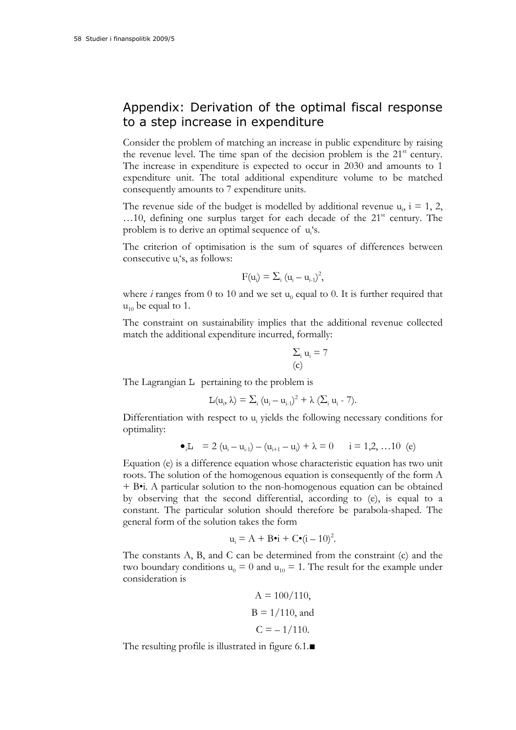## Appendix: Derivation of the optimal fiscal response to a step increase in expenditure

Consider the problem of matching an increase in public expenditure by raising the revenue level. The time span of the decision problem is the  $21<sup>st</sup>$  century. The increase in expenditure is expected to occur in 2030 and amounts to 1 expenditure unit. The total additional expenditure volume to be matched consequently amounts to 7 expenditure units.

The revenue side of the budget is modelled by additional revenue  $u_i$ ,  $i = 1, 2,$  $\dots$ 10, defining one surplus target for each decade of the  $21<sup>st</sup>$  century. The problem is to derive an optimal sequence of u<sub>i</sub>'s.

The criterion of optimisation is the sum of squares of differences between consecutive u<sub>i</sub>'s, as follows:

$$
F(u_i)=\Sigma_i\ (u_i-u_{i\text{-}1})^2,
$$

where *i* ranges from 0 to 10 and we set  $u_0$  equal to 0. It is further required that  $u_{10}$  be equal to 1.

The constraint on sustainability implies that the additional revenue collected match the additional expenditure incurred, formally:

$$
\sum_{i} u_i = 7
$$
 (c)

The Lagrangian L pertaining to the problem is

$$
L(u_i,\lambda)=\Sigma_i\ (u_i-u_{i\text{-}1})^2+\lambda\ (\Sigma_i\ u_i\ \text{-}\ 7).
$$

Differentiation with respect to u<sub>i</sub> yields the following necessary conditions for optimality:

$$
\bullet_i L = 2 (u_i - u_{i \cdot 1}) - (u_{i+1} - u_i) + \lambda = 0 \qquad i = 1, 2, ... 10 (e)
$$

Equation (e) is a difference equation whose characteristic equation has two unit roots. The solution of the homogenous equation is consequently of the form A + B•i. A particular solution to the non-homogenous equation can be obtained by observing that the second differential, according to (e), is equal to a constant. The particular solution should therefore be parabola-shaped. The general form of the solution takes the form

$$
u_i = A + B \bullet i + C \bullet (i - 10)^2.
$$

The constants A, B, and C can be determined from the constraint (c) and the two boundary conditions  $u_0 = 0$  and  $u_{10} = 1$ . The result for the example under consideration is

$$
A = 100/110,
$$
  
B = 1/110, and  

$$
C = -1/110.
$$

The resulting profile is illustrated in figure 6.1.■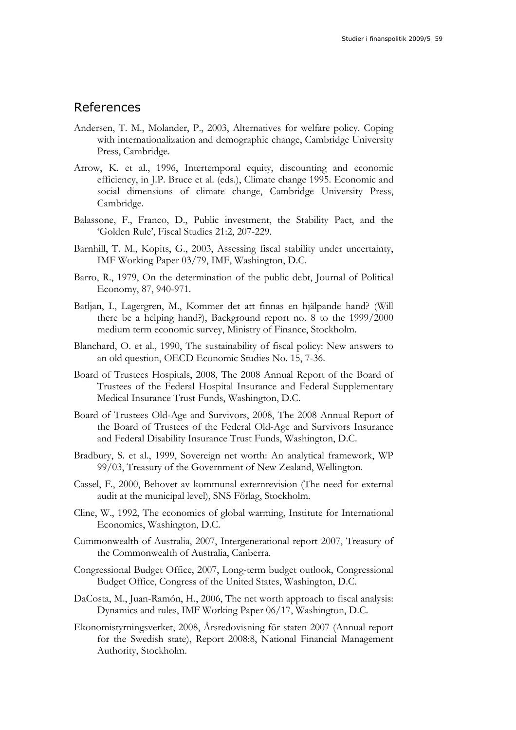### References

- Andersen, T. M., Molander, P., 2003, Alternatives for welfare policy. Coping with internationalization and demographic change, Cambridge University Press, Cambridge.
- Arrow, K. et al., 1996, Intertemporal equity, discounting and economic efficiency, in J.P. Bruce et al. (eds.), Climate change 1995. Economic and social dimensions of climate change, Cambridge University Press, Cambridge.
- Balassone, F., Franco, D., Public investment, the Stability Pact, and the 'Golden Rule', Fiscal Studies 21:2, 207-229.
- Barnhill, T. M., Kopits, G., 2003, Assessing fiscal stability under uncertainty, IMF Working Paper 03/79, IMF, Washington, D.C.
- Barro, R., 1979, On the determination of the public debt, Journal of Political Economy, 87, 940-971.
- Batljan, I., Lagergren, M., Kommer det att finnas en hjälpande hand? (Will there be a helping hand?), Background report no. 8 to the 1999/2000 medium term economic survey, Ministry of Finance, Stockholm.
- Blanchard, O. et al., 1990, The sustainability of fiscal policy: New answers to an old question, OECD Economic Studies No. 15, 7-36.
- Board of Trustees Hospitals, 2008, The 2008 Annual Report of the Board of Trustees of the Federal Hospital Insurance and Federal Supplementary Medical Insurance Trust Funds, Washington, D.C.
- Board of Trustees Old-Age and Survivors, 2008, The 2008 Annual Report of the Board of Trustees of the Federal Old-Age and Survivors Insurance and Federal Disability Insurance Trust Funds, Washington, D.C.
- Bradbury, S. et al., 1999, Sovereign net worth: An analytical framework, WP 99/03, Treasury of the Government of New Zealand, Wellington.
- Cassel, F., 2000, Behovet av kommunal externrevision (The need for external audit at the municipal level), SNS Förlag, Stockholm.
- Cline, W., 1992, The economics of global warming, Institute for International Economics, Washington, D.C.
- Commonwealth of Australia, 2007, Intergenerational report 2007, Treasury of the Commonwealth of Australia, Canberra.
- Congressional Budget Office, 2007, Long-term budget outlook, Congressional Budget Office, Congress of the United States, Washington, D.C.
- DaCosta, M., Juan-Ramón, H., 2006, The net worth approach to fiscal analysis: Dynamics and rules, IMF Working Paper 06/17, Washington, D.C.
- Ekonomistyrningsverket, 2008, Årsredovisning för staten 2007 (Annual report for the Swedish state), Report 2008:8, National Financial Management Authority, Stockholm.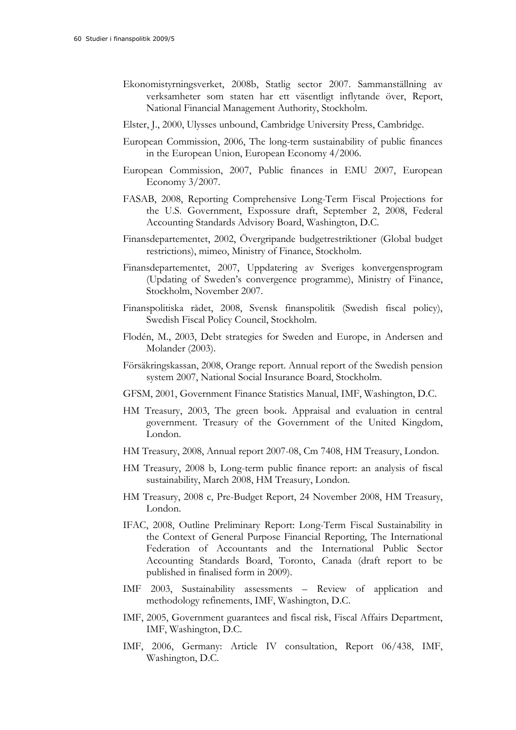- Ekonomistyrningsverket, 2008b, Statlig sector 2007. Sammanställning av verksamheter som staten har ett väsentligt inflytande över, Report, National Financial Management Authority, Stockholm.
- Elster, J., 2000, Ulysses unbound, Cambridge University Press, Cambridge.
- European Commission, 2006, The long-term sustainability of public finances in the European Union, European Economy 4/2006.
- European Commission, 2007, Public finances in EMU 2007, European Economy 3/2007.
- FASAB, 2008, Reporting Comprehensive Long-Term Fiscal Projections for the U.S. Government, Expossure draft, September 2, 2008, Federal Accounting Standards Advisory Board, Washington, D.C.
- Finansdepartementet, 2002, Övergripande budgetrestriktioner (Global budget restrictions), mimeo, Ministry of Finance, Stockholm.
- Finansdepartementet, 2007, Uppdatering av Sveriges konvergensprogram (Updating of Sweden's convergence programme), Ministry of Finance, Stockholm, November 2007.
- Finanspolitiska rådet, 2008, Svensk finanspolitik (Swedish fiscal policy), Swedish Fiscal Policy Council, Stockholm.
- Flodén, M., 2003, Debt strategies for Sweden and Europe, in Andersen and Molander (2003).
- Försäkringskassan, 2008, Orange report. Annual report of the Swedish pension system 2007, National Social Insurance Board, Stockholm.
- GFSM, 2001, Government Finance Statistics Manual, IMF, Washington, D.C.
- HM Treasury, 2003, The green book. Appraisal and evaluation in central government. Treasury of the Government of the United Kingdom, London.
- HM Treasury, 2008, Annual report 2007-08, Cm 7408, HM Treasury, London.
- HM Treasury, 2008 b, Long-term public finance report: an analysis of fiscal sustainability, March 2008, HM Treasury, London.
- HM Treasury, 2008 c, Pre-Budget Report, 24 November 2008, HM Treasury, London.
- IFAC, 2008, Outline Preliminary Report: Long-Term Fiscal Sustainability in the Context of General Purpose Financial Reporting, The International Federation of Accountants and the International Public Sector Accounting Standards Board, Toronto, Canada (draft report to be published in finalised form in 2009).
- IMF 2003, Sustainability assessments Review of application and methodology refinements, IMF, Washington, D.C.
- IMF, 2005, Government guarantees and fiscal risk, Fiscal Affairs Department, IMF, Washington, D.C.
- IMF, 2006, Germany: Article IV consultation, Report 06/438, IMF, Washington, D.C.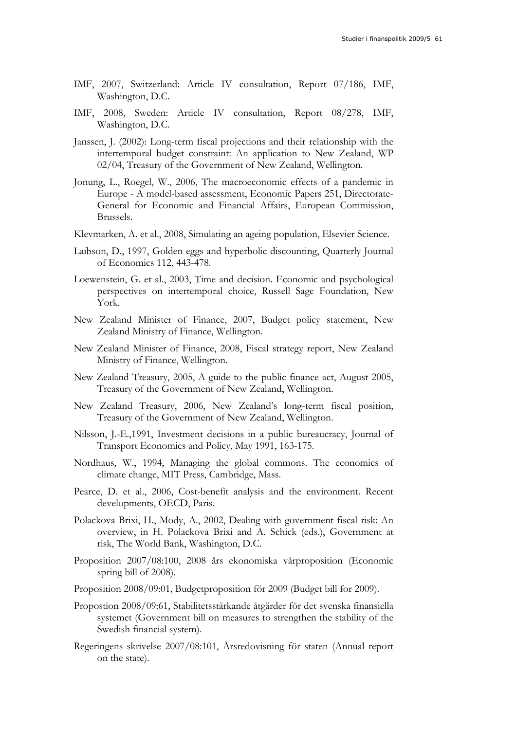- IMF, 2007, Switzerland: Article IV consultation, Report 07/186, IMF, Washington, D.C.
- IMF, 2008, Sweden: Article IV consultation, Report 08/278, IMF, Washington, D.C.
- Janssen, J. (2002): Long-term fiscal projections and their relationship with the intertemporal budget constraint: An application to New Zealand, WP 02/04, Treasury of the Government of New Zealand, Wellington.
- Jonung, L., Roegel, W., 2006, The macroeconomic effects of a pandemic in Europe - A model-based assessment, Economic Papers 251, Directorate-General for Economic and Financial Affairs, European Commission, Brussels.
- Klevmarken, A. et al., 2008, Simulating an ageing population, Elsevier Science.
- Laibson, D., 1997, Golden eggs and hyperbolic discounting, Quarterly Journal of Economics 112, 443-478.
- Loewenstein, G. et al., 2003, Time and decision. Economic and psychological perspectives on intertemporal choice, Russell Sage Foundation, New York.
- New Zealand Minister of Finance, 2007, Budget policy statement, New Zealand Ministry of Finance, Wellington.
- New Zealand Minister of Finance, 2008, Fiscal strategy report, New Zealand Ministry of Finance, Wellington.
- New Zealand Treasury, 2005, A guide to the public finance act, August 2005, Treasury of the Government of New Zealand, Wellington.
- New Zealand Treasury, 2006, New Zealand's long-term fiscal position, Treasury of the Government of New Zealand, Wellington.
- Nilsson, J.-E.,1991, Investment decisions in a public bureaucracy, Journal of Transport Economics and Policy, May 1991, 163-175.
- Nordhaus, W., 1994, Managing the global commons. The economics of climate change, MIT Press, Cambridge, Mass.
- Pearce, D. et al., 2006, Cost-benefit analysis and the environment. Recent developments, OECD, Paris.
- Polackova Brixi, H., Mody, A., 2002, Dealing with government fiscal risk: An overview, in H. Polackova Brixi and A. Schick (eds.), Government at risk, The World Bank, Washington, D.C.
- Proposition 2007/08:100, 2008 års ekonomiska vårproposition (Economic spring bill of 2008).
- Proposition 2008/09:01, Budgetproposition för 2009 (Budget bill for 2009).
- Propostion 2008/09:61, Stabilitetsstärkande åtgärder för det svenska finansiella systemet (Government bill on measures to strengthen the stability of the Swedish financial system).
- Regeringens skrivelse 2007/08:101, Årsredovisning för staten (Annual report on the state).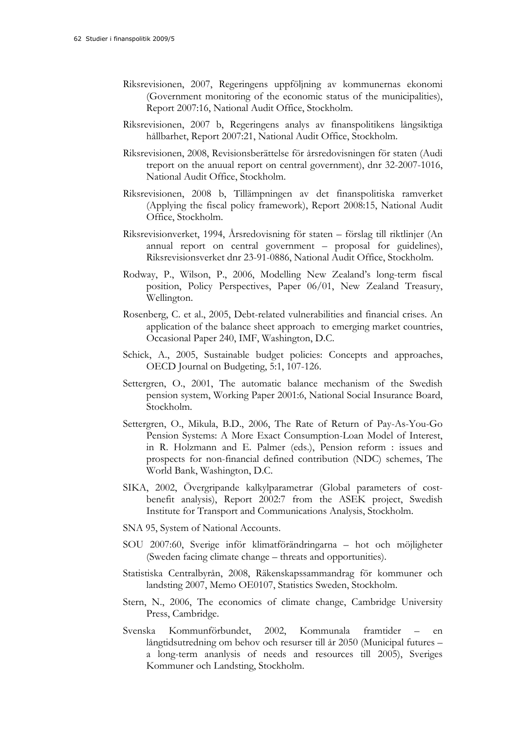- Riksrevisionen, 2007, Regeringens uppföljning av kommunernas ekonomi (Government monitoring of the economic status of the municipalities), Report 2007:16, National Audit Office, Stockholm.
- Riksrevisionen, 2007 b, Regeringens analys av finanspolitikens långsiktiga hållbarhet, Report 2007:21, National Audit Office, Stockholm.
- Riksrevisionen, 2008, Revisionsberättelse för årsredovisningen för staten (Audi treport on the anuual report on central government), dnr 32-2007-1016, National Audit Office, Stockholm.
- Riksrevisionen, 2008 b, Tillämpningen av det finanspolitiska ramverket (Applying the fiscal policy framework), Report 2008:15, National Audit Office, Stockholm.
- Riksrevisionverket, 1994, Årsredovisning för staten förslag till riktlinjer (An annual report on central government – proposal for guidelines), Riksrevisionsverket dnr 23-91-0886, National Audit Office, Stockholm.
- Rodway, P., Wilson, P., 2006, Modelling New Zealand's long-term fiscal position, Policy Perspectives, Paper 06/01, New Zealand Treasury, Wellington.
- Rosenberg, C. et al., 2005, Debt-related vulnerabilities and financial crises. An application of the balance sheet approach to emerging market countries, Occasional Paper 240, IMF, Washington, D.C.
- Schick, A., 2005, Sustainable budget policies: Concepts and approaches, OECD Journal on Budgeting, 5:1, 107-126.
- Settergren, O., 2001, The automatic balance mechanism of the Swedish pension system, Working Paper 2001:6, National Social Insurance Board, Stockholm.
- Settergren, O., Mikula, B.D., 2006, The Rate of Return of Pay-As-You-Go Pension Systems: A More Exact Consumption-Loan Model of Interest, in R. Holzmann and E. Palmer (eds.), Pension reform : issues and prospects for non-financial defined contribution (NDC) schemes, The World Bank, Washington, D.C.
- SIKA, 2002, Övergripande kalkylparametrar (Global parameters of costbenefit analysis), Report 2002:7 from the ASEK project, Swedish Institute for Transport and Communications Analysis, Stockholm.
- SNA 95, System of National Accounts.
- SOU 2007:60, Sverige inför klimatförändringarna hot och möjligheter (Sweden facing climate change – threats and opportunities).
- Statistiska Centralbyrån, 2008, Räkenskapssammandrag för kommuner och landsting 2007, Memo OE0107, Statistics Sweden, Stockholm.
- Stern, N., 2006, The economics of climate change, Cambridge University Press, Cambridge.
- Svenska Kommunförbundet, 2002, Kommunala framtider en långtidsutredning om behov och resurser till år 2050 (Municipal futures – a long-term ananlysis of needs and resources till 2005), Sveriges Kommuner och Landsting, Stockholm.